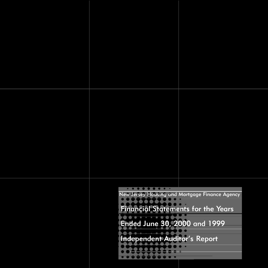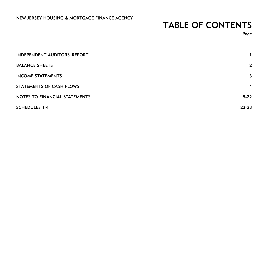# TABLE OF CONTENTS

Page

| <b>INDEPENDENT AUDITORS' REPORT</b> |                |
|-------------------------------------|----------------|
| <b>BALANCE SHEETS</b>               | $\overline{2}$ |
| <b>INCOME STATEMENTS</b>            | 3              |
| STATEMENTS OF CASH FLOWS            | 4              |
| NOTES TO FINANCIAL STATEMENTS       | $5-22$         |
| <b>SCHEDULES 1-4</b>                | $23 - 28$      |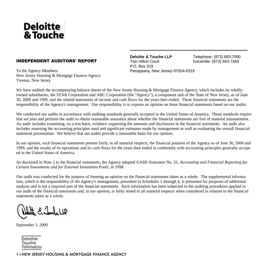

# INDEPENDENT AUDITORS' REPORT

To the Agency Members New Jersey Housing & Mortgage Finance Agency Trenton, New Jersey

**Deloitte & Touche LLP** Telephone: (973) 683-7000 Two Hilton Court Facsimile: (973) 683-7459 P.O. Box 319 Parsippany, New Jersey 07054-0319

We have audited the accompanying balance sheets of the New Jersey Housing & Mortgage Finance Agency, which includes its whollyowned subsidiaries, the STAR Corporation and ABC Corporation (the "Agency"), a component unit of the State of New Jersey, as of June 30, 2000 and 1999, and the related statements of income and cash flows for the years then ended. These financial statements are the responsibility of the Agency's management. Our responsibility is to express an opinion on these financial statements based on our audits.

We conducted our audits in accordance with auditing standards generally accepted in the United States of America. Those standards require that we plan and perform the audit to obtain reasonable assurance about whether the financial statements are free of material misstatement. An audit includes examining, on a test basis, evidence supporting the amounts and disclosures in the financial statements. An audit also includes assessing the accounting principles used and significant estimates made by management as well as evaluating the overall financial statement presentation. We believe that our audits provide a reasonable basis for our opinion.

In our opinion, such financial statements present fairly, in all material respects, the financial position of the Agency as of June 30, 2000 and 1999, and the results of its operations and its cash flows for the years then ended in conformity with accounting principles generally accepted in the United States of America.

As discussed in Note 2 to the financial statements, the Agency adopted GASB Statement No. 31, *Accounting and Financial Reporting for Certain Investments and for External Investment Pools, in 1998.*

Our audit was conducted for the purpose of forming an opinion on the financial statements taken as a whole. The supplemental information, which is the responsibility of the Agency's management, presented in Schedules 1 through 4, is presented for purposes of additional analysis and is not a required part of the financial statements. Such information has been subjected to the auditing procedures applied in our audit of the financial statements and, in our opinion, is fairly stated in all material respects when considered in relation to the financial statements taken as a whole.

 $d\mathcal{L}$ 

September 1, 2000

**Deloitte** Touche Tohmatsu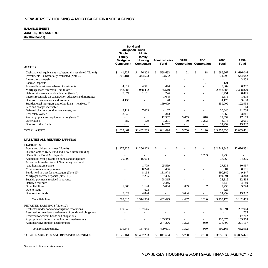#### **BALANCE SHEETS JUNE 30, 2000 AND 1999 (In Thousands)**

|                                                                                                                                             |                                           | <b>Bond and</b><br><b>Obligation Funds</b> |                               |               |                                        |                |                                    |                                |
|---------------------------------------------------------------------------------------------------------------------------------------------|-------------------------------------------|--------------------------------------------|-------------------------------|---------------|----------------------------------------|----------------|------------------------------------|--------------------------------|
| <b>ASSETS</b>                                                                                                                               | Single<br>Family<br>Mortgage<br>Component | Multi-<br>family<br>Housing<br>Component   | Administrative<br><b>Fund</b> |               | <b>STAR</b><br>Corporation Corporation | <b>ABC</b>     | 2000<br>Total                      | 1999<br>Total                  |
|                                                                                                                                             |                                           |                                            |                               |               |                                        |                |                                    |                                |
| Cash and cash equivalents - substantially restricted (Note 4)<br>Investments - substantially restricted (Note 4)<br>Interest in partnership | \$<br>41,727<br>306,181                   | $\mathbb{S}$<br>76,208<br>344,563          | \$<br>568,693<br>23,552<br>٠  | <sup>\$</sup> | 21                                     | \$<br>18<br>ä, | $\mathbb{S}$<br>686,667<br>674,296 | \$ 616,046<br>644,042<br>3,308 |
| <b>Escrow Deposits</b>                                                                                                                      | $\overline{a}$                            |                                            | ×.                            |               |                                        | 121            | 121                                | ×.                             |
| Accrued interest receivable on investments                                                                                                  | 4.617                                     | 4.571                                      | 474                           |               |                                        |                | 9.662                              | 8.307                          |
| Mortgage loans receivable - net (Note 5)                                                                                                    | 1.248.884                                 | 1,048,492                                  | 55,510                        |               |                                        |                | 2,352,886                          | 2,338,879                      |
| Debt service arrears receivable - net (Note 6)                                                                                              | 7,074                                     | 1,151                                      | 226                           |               |                                        |                | 8,451                              | 8,475                          |
| Interest receivable on construction advances and mortgages                                                                                  | ÷.                                        | $\sim$                                     | 1.675                         |               |                                        | ä,             | 1,675                              | 1,675                          |
| Due from loan servicers and insurers                                                                                                        | 4,135                                     |                                            | 40                            |               |                                        |                | 4,175                              | 3,690                          |
| Supplemental mortgages and other loans - net (Note 7)                                                                                       |                                           |                                            | 159,009                       |               |                                        |                | 159,009                            | 122,958                        |
| Fees and charges receivable                                                                                                                 | $\sim$                                    |                                            | ٠                             |               |                                        |                |                                    | 14                             |
| Deferred charges - bond issuance costs, net                                                                                                 | 9.112                                     | 7.069                                      | 4.167                         |               |                                        |                | 20.348                             | 21.738                         |
| Real estate owned                                                                                                                           | 3.349                                     |                                            | 313                           |               |                                        |                | 3.662                              | 3,841                          |
| Property, plant and equipment - net (Note 8)                                                                                                | ÷                                         | $\sim$                                     | 12,582                        |               | 5,659                                  | 818            | 19,059                             | 17,105                         |
| Other assets                                                                                                                                | 382                                       | 179                                        | 1,201                         |               | 80                                     | 1,233          | 3,075                              | 2,011                          |
| Due from other funds                                                                                                                        | ä,                                        | $\overline{\phantom{a}}$                   | 14,252                        |               | $\sim$                                 | $\sim$         | 14,252                             | 13,332                         |
| TOTAL ASSETS                                                                                                                                | \$1,625,461                               | \$1,482,233                                | \$<br>841,694                 | \$            | 5,760                                  | \$<br>2,190    | \$3,957,338                        | \$3,805,421                    |
| <b>LIABILITIES AND RETAINED EARNINGS</b>                                                                                                    |                                           |                                            |                               |               |                                        |                |                                    |                                |
| LIABILITIES:                                                                                                                                |                                           |                                            |                               |               |                                        |                |                                    |                                |
| Bonds and obligations - net (Note 9)<br>Due to Camden RCA Fund and 1997 Unsafe Building                                                     | \$1,477,925                               | \$1,266,923                                | \$                            | \$            |                                        | \$             | \$2,744,848                        | \$2,676,351                    |
| Demolition Bond Act Payable                                                                                                                 | ÷,                                        |                                            |                               |               |                                        | 1,233          | 1,233                              |                                |
| Accrued interest payable on bonds and obligations<br>Advances from the State of New Jersey for bond                                         | 20,700                                    | 15,664                                     |                               |               |                                        |                | 36,364                             | 34,305                         |
| and housing assistance                                                                                                                      |                                           | 1,779                                      | 25,559                        |               |                                        |                | 27,338                             | 30,937                         |
| Minimum escrow requirement                                                                                                                  |                                           | 8,228                                      | 456                           |               |                                        |                | 8,684                              | 8,551                          |
| Funds held in trust for mortgagors (Note 10)                                                                                                |                                           | 8.164                                      | 181,978                       |               |                                        |                | 190.142                            | 149,247                        |
| Mortgagor escrow deposits (Note 11)                                                                                                         |                                           | 7,235                                      | 187,456<br>28,315             |               |                                        |                | 194,691<br>28,315                  | 183,348<br>32,464              |
| Subsidy payments received in advance<br>Deferred revenues                                                                                   |                                           | $\sim$                                     | 2,445                         |               |                                        |                | 2,445                              | 4,140                          |
| Other liabilities                                                                                                                           | 1,366                                     | 1,148                                      | 5,884                         |               | 833                                    | $\overline{7}$ | 9,238                              | 9,794                          |
| Due to HUD                                                                                                                                  |                                           | 623                                        | ٠                             |               |                                        |                | 623                                |                                |
| Due to other funds                                                                                                                          | 5,824                                     | 4,824                                      | ÷,                            |               | 3,604                                  | ÷,             | 14,252                             | 13,332                         |
| <b>Total liabilities</b>                                                                                                                    | 1,505,815                                 | 1,314,588                                  | 432,093                       |               | 4,437                                  | 1,240          | 3,258,173                          | 3,142,469                      |
| RETAINED EARNINGS (Note 12):                                                                                                                |                                           |                                            |                               |               |                                        |                |                                    |                                |
| Restricted under bond and obligation resolutions                                                                                            | 119,646                                   | 167,645                                    |                               |               |                                        |                | 287,291                            | 287,964                        |
| Reserved for mandatory retirement of bonds and obligations                                                                                  |                                           |                                            |                               |               |                                        |                |                                    | 735                            |
| Reserved for certain bonds and obligations                                                                                                  |                                           |                                            |                               |               |                                        |                |                                    | 17.712                         |
| Appropriated administrative fund retained earnings                                                                                          |                                           |                                            | 135,375                       |               |                                        |                | 135,375                            | 135,374                        |
| Administrative fund retained earnings                                                                                                       | $\overline{a}$                            |                                            | 274,226                       |               | 1,323                                  | 950            | 276,499                            | 221,167                        |
| Total retained earnings                                                                                                                     | 119,646                                   | 167,645                                    | 409,601                       |               | 1,323                                  | 950            | 699,165                            | 662,952                        |
| TOTAL LIABILITIES AND RETAINED EARNINGS                                                                                                     | \$1,625,461                               | \$1,482,233                                | \$<br>841,694                 | \$            | 5,760                                  | \$<br>2,190    | \$3,957,338                        | \$3,805,421                    |

See notes to financial statements.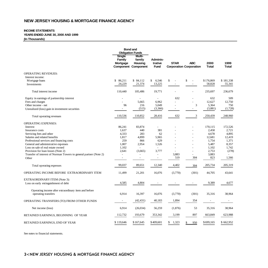#### **INCOME STATEMENTS**

#### **YEARS ENDED JUNE 30, 2000 AND 1999**

**(In Thousands)**

|                                                                   | <b>Bond and</b><br><b>Obligation Funds</b> |                                                                  |                                   |               |                                              |                          |               |
|-------------------------------------------------------------------|--------------------------------------------|------------------------------------------------------------------|-----------------------------------|---------------|----------------------------------------------|--------------------------|---------------|
|                                                                   | Single<br>Family<br>Mortgage               | <b>Multi-</b><br>family<br>Housing<br><b>Component Component</b> | <b>Adminis</b><br>trative<br>Fund | <b>STAR</b>   | <b>ABC</b><br><b>Corporation Corporation</b> | 2000<br><b>Total</b>     | 1999<br>Total |
| <b>OPERATING REVENUES:</b>                                        |                                            |                                                                  |                                   |               |                                              |                          |               |
| Interest income:                                                  |                                            |                                                                  |                                   |               |                                              |                          |               |
| M ortgage loans                                                   | \$<br>86,211                               | \$84,112                                                         | \$<br>6,546                       | \$            | \$<br>$\overline{\phantom{a}}$               | \$176,869                | \$181,338     |
| Investments                                                       | 24,229                                     | 21,374                                                           | 13,225                            |               |                                              | 58,828                   | 55,341        |
| Total interest income                                             | 110,440                                    | 105,486                                                          | 19,771                            |               |                                              | 235.697                  | 236,679       |
| Equity in earnings of partnership interest                        |                                            |                                                                  |                                   | 632           |                                              | 632                      | 509           |
| Fees and charges                                                  |                                            | 5.665                                                            | 6.962                             |               |                                              | 12.627                   | 12,750        |
| Other income - net                                                | 96                                         | 216                                                              | 5.049                             |               | 3                                            | 5,364                    | 750           |
| Unrealized (loss) gain in investment securities                   |                                            | (515)                                                            | (3,366)                           | $\frac{1}{2}$ | ٠                                            | (3,881)                  | (1,728)       |
| Total operating revenues                                          | 110,536                                    | 110,852                                                          | 28,416                            | 632           | 3                                            | 250,439                  | 248,960       |
| <b>OPERATING EXPENSES:</b>                                        |                                            |                                                                  |                                   |               |                                              |                          |               |
| Interest                                                          | 86,241                                     | 83,874                                                           |                                   |               |                                              | 170,115                  | 172,526       |
| Insurance costs                                                   | 1,637                                      | 440                                                              | 381                               |               | ä,                                           | 2,458                    | 2,721         |
| Servicing fees and other                                          | 4,333                                      | 283                                                              | 62                                |               | L,                                           | 4,678                    | 4,895         |
| Salaries and related benefits                                     | 1,817                                      | 4,899                                                            | 5,965                             |               | ä,                                           | 12,681                   | 12,419        |
| Professional services and financing costs                         | 259                                        | 866                                                              | 629                               |               | ä,                                           | 1,754                    | 1,371         |
| General and administrative expenses                               | 1,007                                      | 2,954                                                            | 1,526                             |               | ä,                                           | 5,487                    | 8,357         |
| Loss on sale of real estate owned                                 | 1,102                                      |                                                                  |                                   | ٠             | ÷.                                           | 1,102                    | 1,742         |
| Provision for loan losses (Note 2)                                | 2,641                                      | (3,665)                                                          | 3,777                             |               |                                              | 2,753                    | (278)         |
| Transfer of interest of Norman Towers to general partner (Note 2) | ÷,                                         |                                                                  | $\overline{\phantom{a}}$          | 3,883         | ä,                                           | 3,883                    |               |
| Other                                                             | $\overline{\phantom{a}}$                   | $\sim$                                                           | $\overline{\phantom{a}}$          | 519           | 304                                          | 823                      | 1,566         |
| Total operating expenses                                          | 99,037                                     | 89,651                                                           | 12,340                            | 4,402         | 304                                          | 205,734                  | 205,319       |
| OPERATING INCOME BEFORE EXTRAORDINARY ITEM                        | 11,499                                     | 21,201                                                           | 16,076                            | (3,770)       | (301)                                        | 44,705                   | 43,641        |
| EXTRAORDINARY ITEM (Note 3):                                      |                                            |                                                                  |                                   |               |                                              |                          |               |
| Loss on early extinguishment of debt                              | 4,585                                      | 4,804                                                            |                                   |               | $\overline{\phantom{m}}$                     | 9,389                    | 4,677         |
| Operating income after extraordinary item and before              |                                            |                                                                  |                                   |               |                                              |                          |               |
| operating transfers                                               | 6,914                                      | 16,397                                                           | 16,076                            | (3,770)       | (301)                                        | 35,316                   | 38,964        |
| OPERATING TRANSFERS (TO) FROM OTHER FUNDS                         | $\overline{\phantom{a}}$                   | (42, 431)                                                        | 40,183                            | 1,894         | 354                                          | $\overline{\phantom{a}}$ | $\sim$        |
| Net income (loss)                                                 | 6,914                                      | (26, 034)                                                        | 56,259                            | (1,876)       | 53                                           | 35,316                   | 38,964        |
| RETAINED EARNINGS, BEGINNING OF YEAR                              | 112,732                                    | 193,679                                                          | 353,342                           | 3,199         | 897                                          | 663,849                  | 623,988       |
| RETAINED EARNINGS, END OF YEAR                                    | \$119,646                                  | \$167,645                                                        | \$409,601                         | \$<br>1,323   | 950<br>S                                     | \$699,165                | \$662,952     |

See notes to financial statements.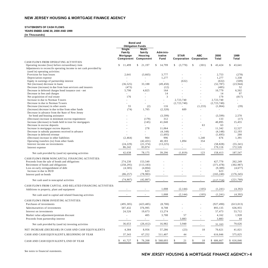#### **STATEMENTS OF CASH FLOWS**

**YEARS ENDED JUNE 30, 2000 AND 1999**

**(In Thousands)**

|                                                                                                      | <b>Bond and</b><br><b>Obligation Funds</b> |                                           |                             |                          |                                       |                         |               |
|------------------------------------------------------------------------------------------------------|--------------------------------------------|-------------------------------------------|-----------------------------|--------------------------|---------------------------------------|-------------------------|---------------|
|                                                                                                      | Single<br>Fam ily<br>Mortgage<br>Component | Multi-<br>fam ily<br>Housing<br>Component | Adminis-<br>trative<br>Fund | <b>STAR</b>              | <b>ABC</b><br>Corporation Corporation | 2000<br>Total           | 1999<br>Total |
| CASH FLOWS FROM OPERATING ACTIVITIES:                                                                |                                            |                                           |                             |                          |                                       |                         |               |
| Operating income (loss) before extraordinary item                                                    | \$<br>11,499                               | \$21,197                                  | S.<br>14,799                | \$<br>(3,770)            | (301)<br>\$.                          | <sup>\$</sup><br>43,424 | s<br>43,641   |
| Adjustments to reconcile operating income to net cash provided by<br>(used in) operating activities: |                                            |                                           |                             |                          |                                       |                         |               |
| Provision for loan losses                                                                            | 2,641                                      | (3,665)                                   | 3,777                       |                          |                                       | 2,753                   | (278)         |
| Depreciation expense                                                                                 | $\overline{a}$                             | $\overline{a}$                            | 1,277                       |                          |                                       | 1.277                   | 1,338         |
| Equity in earnings of partnership interest                                                           |                                            |                                           |                             | (632)                    |                                       | (632)                   | (509)         |
| Net (increase) decrease in loans                                                                     | (36, 525)                                  | 33,188                                    | (49, 450)                   |                          |                                       | (52, 787)               | (23, 944)     |
| Decrease (increase) in due from loan servicers and insurers                                          | (473)                                      |                                           | (12)                        |                          |                                       | (485)                   | 52            |
| Decrease in deferred charges bond issuance cost - net                                                | 5,790                                      | 4,825                                     | 164                         |                          |                                       | 10,779                  | 6,502         |
| Decrease in fees and charges                                                                         |                                            |                                           | 14                          |                          |                                       | 14                      | 97            |
| Net acquisition of real estate                                                                       | 176                                        |                                           | $\overline{\mathbf{3}}$     |                          |                                       | 179                     | (817)         |
| Increase in due to Norman Towers                                                                     |                                            |                                           | $\overline{a}$              | 2,723,740                |                                       | 2,723,740               |               |
| Decrease in due to Norman Towers                                                                     |                                            |                                           | $\overline{a}$              | (2,723,740)              |                                       | (2,723,740)             |               |
| Decrease (increase) in other assets                                                                  | 55                                         | (2)                                       | 116                         |                          | (1, 233)                              | (1,064)                 | (39)          |
| (Increase) decrease in due to/due from other funds                                                   | (74)                                       | 1,705                                     | (2,320)                     | 689                      |                                       |                         |               |
| Decrease in advance from the State of New Jersey                                                     |                                            |                                           |                             |                          |                                       |                         |               |
| for bond and housing assistance                                                                      |                                            | $\overline{a}$                            | (3, 599)                    |                          |                                       | (3,599)                 | 2,570         |
| (Decrease) increase in minimum escrow requirement                                                    |                                            | (179)                                     | 312                         |                          | $\overline{a}$                        | 133                     | (17)          |
| Increase (decrease) in funds held in trust for mortgagors                                            |                                            | (145)                                     | 41,040                      |                          | ٠                                     | 40.895                  | 15,455        |
| Decrease in escrow deposits                                                                          |                                            | $\overline{a}$                            |                             |                          | 63                                    | 63                      |               |
| Increase in mortgagor escrow deposits                                                                |                                            | 278                                       | 11.064                      |                          |                                       | 11.342                  | 12.527        |
| Decrease in subsidy payments received in advance                                                     |                                            | $\overline{a}$                            | (4, 148)                    | $\overline{a}$           | ÷                                     | (4, 148)                | 12,193        |
| Decrease in deferred revenue                                                                         |                                            | 904                                       | (1,695)                     |                          | 1,240                                 | (1,695)                 | 200           |
| (Decrease) increase in other liabilities<br>Operating transfers (to) from other funds                | (2, 464)                                   | (42, 431)                                 | 996<br>40,183               | 1,894                    | 354                                   | 676                     | 1,391         |
| Interest income on investments                                                                       | (24, 229)                                  | (21, 374)                                 | (13, 225)                   |                          | $\overline{\phantom{a}}$              | (58, 828)               | (55, 341)     |
|                                                                                                      | 86,242                                     | 83,874                                    | $\overline{\phantom{a}}$    | $\overline{a}$           | $\mathcal{L}_{\mathcal{A}}$           | 170,116                 | 172,526       |
| Interest expense                                                                                     |                                            |                                           |                             |                          |                                       |                         |               |
| Net cash provided by (used in) operating activities                                                  | 42,638                                     | 78,175                                    | 39,296                      | (1, 819)                 | 123                                   | 158,413                 | 187,547       |
| CASH FLOWS FROM NONCAPITAL FINANCING ACTIVITIES:                                                     |                                            |                                           |                             |                          |                                       |                         |               |
| Proceeds from the sale of bonds and obligations                                                      | 274,230                                    | 153,540                                   |                             |                          |                                       | 427,770                 | 262,249       |
| Retirement of bonds and obligations                                                                  | (258, 295)                                 | (113, 183)                                |                             |                          | $\overline{a}$                        | (371, 478)              | (302, 987)    |
| Loss on early extinguishment of debt                                                                 | (4, 585)                                   | (4,804)                                   |                             |                          |                                       | (9,389)                 | (4,677)       |
| Increase in due to HUD                                                                               |                                            | 623                                       |                             |                          |                                       | 623                     |               |
| Interest paid on bonds                                                                               | (86, 257)                                  | (78, 983)                                 |                             |                          | $\overline{a}$                        | (165, 240)              | (176, 345)    |
| Net cash used in noncapital activities                                                               | (74, 907)                                  | (42, 807)                                 |                             |                          | $\overline{a}$                        | (117, 714)              | (221,760)     |
| CASH FLOWS FROM CAPITAL AND RELATED FINANCING ACTIVITIES:                                            |                                            |                                           |                             |                          |                                       |                         |               |
| Additions to property, plant and equipment                                                           |                                            |                                           | 1,008                       | (2, 144)                 | (105)                                 | (1, 241)                | (4, 392)      |
| Net cash used in capital and related financing activities                                            |                                            |                                           | 1,008                       | (2, 144)                 | (105)                                 | (1, 241)                | (4, 392)      |
| CASH FLOWS FROM INVESTING ACTIVITIES:                                                                |                                            |                                           |                             |                          |                                       |                         |               |
| Purchases of investments                                                                             | (495, 305)                                 | (423, 485)                                | (8,700)                     |                          |                                       | (927, 490)              | (613, 013)    |
| Sales/maturities of investments                                                                      | 507,432                                    | 376,995                                   | 8,708                       |                          |                                       | 893,135                 | 636,955       |
| Interest on investments                                                                              | 24,526                                     | 19,673                                    | 13,274                      |                          |                                       | 57,473                  | 53,712        |
|                                                                                                      |                                            | 405                                       | 3,700                       | 57                       | $\overline{a}$                        | 4,162                   | 1,928         |
| Market value adjustment/premium discount                                                             | ÷                                          |                                           |                             |                          |                                       |                         |               |
| Proceeds from partnership interest                                                                   |                                            | $\sim$                                    | $\sim$                      | 3,883                    |                                       | 3,883                   | 44            |
| Net cash provided by (used in) investing activities                                                  | 36,653                                     | (26, 412)                                 | 16,982                      | 3,940                    | ÷,                                    | 31,163                  | 79,626        |
| NET INCREASE (DECREASE) IN CASH AND CASH EQUIVALENTS                                                 | 4,384                                      | 8,956                                     | 57,286                      | (23)                     | 18                                    | 70,621                  | 41,021        |
| CASH AND CASH EQUIVALENTS, BEGINNING OF YEAR                                                         | 37,343                                     | 67,252                                    | 511,407                     | 44                       |                                       | 616,046                 | 575,025       |
| CASH AND CASH EQUIVALENTS, END OF YEAR                                                               | \$<br>41,727                               | \$<br>76,208                              | \$568,693                   | $\mathbf{\hat{S}}$<br>21 | $\mathbf{\hat{S}}$<br>18              | \$686,667               | \$ 616,046    |

See notes to financial statements.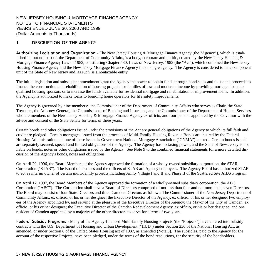# NEW JERSEY HOUSING & MORTGAGE FINANCE AGENCY NOTES TO FINANCIAL STATEMENTS YEARS ENDED JUNE 30, 2000 AND 1999 (Dollar Amounts in Thousands)

# 1. DESCRIPTION OF THE AGENCY

Authorizing Legislation and Organization - The New Jersey Housing & Mortgage Finance Agency (the "Agency"), which is established in, but not part of, the Department of Community Affairs, is a body, corporate and politic, created by the New Jersey Housing & Mortgage Finance Agency Law of 1983, constituting Chapter 530, Laws of New Jersey, 1983 (the "Act"), which combined the New Jersey Housing Finance Agency and the New Jersey Mortgage Finance Agency into a single agency. The Agency is considered to be a component unit of the State of New Jersey and, as such, is a nontaxable entity.

The initial legislation and subsequent amendment grant the Agency the power to obtain funds through bond sales and to use the proceeds to finance the construction and rehabilitation of housing projects for families of low and moderate income by providing mortgage loans to qualified housing sponsors or to increase the funds available for residential mortgage and rehabilitation or improvement loans. In addition, the Agency is authorized to make loans to boarding home operators for life safety improvements.

The Agency is governed by nine members: the Commissioner of the Department of Community Affairs who serves as Chair, the State Treasurer, the Attorney General, the Commissioner of Banking and Insurance, and the Commissioner of the Department of Human Services who are members of the New Jersey Housing & Mortgage Finance Agency ex-officio, and four persons appointed by the Governor with the advice and consent of the State Senate for terms of three years.

Certain bonds and other obligations issued under the provisions of the Act are general obligations of the Agency to which its full faith and credit are pledged. Certain mortgages issued from the proceeds of Multi-Family Housing Revenue Bonds are insured by the Federal Housing Administration and one of these issues is Government National Mortgage Association ("GNMA") backed. Certain bonds issued are separately secured, special and limited obligations of the Agency. The Agency has no taxing power, and the State of New Jersey is not liable on bonds, notes or other obligations issued by the Agency. See Note 9 to the combined financial statements for a more detailed discussion of the Agency's bonds, notes and obligations.

On April 29, 1996, the Board Members of the Agency approved the formation of a wholly-owned subsidiary corporation, the STAR Corporation ("STAR"). The Board of Trustees and the officers of STAR are Agency employees. The Agency Board has authorized STAR to act as interim owner of certain multi-family projects including Amity Village I and II and Phase II of the Scattered Site AIDS Program.

On April 17, 1997, the Board Members of the Agency approved the formation of a wholly-owned subsidiary corporation, the ABC Corporation ("ABC"). The Corporation shall have a Board of Directors comprised of not less than four and not more than seven Directors. The Board may consist of four State Directors and three Camden Directors as follows: The Commissioner of the New Jersey Department of Community Affairs, ex officio, or his or her designee; the Executive Director of the Agency, ex officio, or his or her designee; two employees of the Agency appointed by, and serving at the pleasure of the Executive Director of the Agency; the Mayor of the City of Camden, ex officio, or his or her designee; the Executive Director of the Camden Redevelopment Agency, ex officio, or his or her designee; and one resident of Camden appointed by a majority of the other directors to serve for a term of two years.

Federal Subsidy Programs - Many of the Agency-financed Multi-family Housing Projects (the "Projects") have entered into subsidy contracts with the U.S. Department of Housing and Urban Development ("HUD") under Section 236 of the National Housing Act, as amended, or under Section 8 of the United States Housing act of 1937, as amended (Note 5). The subsidies, paid to the Agency for the account of the respective Projects, have been pledged, under the terms of the bond resolutions, for the security of the bondholders.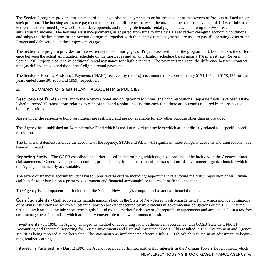The Section 8 program provides for payment of housing assistance payments to or for the account of the owners of Projects assisted under such program. The housing assistance payments represent the difference between the total contract rents (an average of 141% of fair market rents as determined by HUD) for such developments and the eligible tenants' rental payments, which are up to 30% of each such tenant's adjusted income. The housing assistance payments, as adjusted from time to time by HUD to reflect changing economic conditions and subject to the limitations of the Section 8 program, together with the tenants' rental payments, are used to pay all operating costs of the Project and debt service on the Project's mortgage.

The Section 236 program provides for interest reductions on mortgages of Projects assisted under the program. HUD subsidizes the difference between the actual amortization schedule on the mortgages and an amortization schedule based upon a 1% interest rate. Several Section 236 Projects also receive additional rental assistance for eligible tenants. The payments represent the difference between contract rent (as defined above) and the tenants' eligible rental payments.

The Section 8 Housing Assistance Payments ("HAP") received by the Projects amounted to approximately \$171,195 and \$170,477 for the years ended June 30, 2000 and 1999, respectively.

# 2. SUMMARY OF SIGNIFICANT ACCOUNTING POLICIES

Description of Funds - Pursuant to the Agency's bond and obligation resolutions (the bond resolutions), separate funds have been established to record all transactions relating to each of the bond resolutions. Within each fund there are accounts required by the respective bond resolutions.

Assets under the respective bond resolutions are restricted and are not available for any other purpose other than as provided.

The Agency has established an Administrative Fund which is used to record transactions which are not directly related to a specific bond resolution.

The financial statements include the accounts of the Agency, STAR and ABC. All significant inter-company accounts and transactions have been eliminated.

Reporting Entity - The GASB establishes the criteria used in determining which organizations should be included in the Agency's financial statements. Generally accepted accounting principles require the inclusion of the transactions of government organizations for which the Agency is financially accountable.

The extent of financial accountability is based upon several criteria including: appointment of a voting majority, imposition of will, financial benefit to or burden on a primary government and financial accountability as a result of fiscal dependency.

The Agency is a component unit included in the State of New Jersey's comprehensive annual financial report.

Cash Equivalents - Cash equivalents include amounts held in the State of New Jersey Cash Management Fund which include obligations of banking institutions of which a substantial portion are either secured by investments in governmental obligations or are FDIC insured. Cash equivalents also include short-term highly liquid money market funds, overnight repurchase agreements and amounts held in a tax free cash management fund, all of which are readily convertible to known amounts of cash.

Investments - In 1998, the Agency changed its method of accounting for investments in accordance with GASB Statement No. 31, Accounting and Financial Reporting for Certain Investments and External Investment Pools. This resulted in U.S. Government and Agency securities being reported at market value. The statement was implemented effective July 1, 1997, which resulted in an adjustment to beginning retained earnings.

Interest in Partnership - During 1996, the Agency received 17 limited partnership interests in the Norman Towers Development, which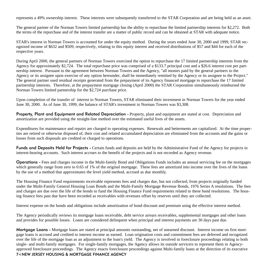represents a 49% ownership interest. These interests were subsequently transferred to the STAR Corporation and are being held as an asset.

The general partner of the Norman Towers limited partnership has the ability to repurchase the limited partnership interests for \$2,272. Both the terms of the repurchase and of the interest transfer are a matter of public record and can be obtained at STAR with adequate notice.

STAR's interest in Norman Towers is accounted for under the equity method. During the years ended June 30, 2000 and 1999, STAR recognized income of \$632 and \$509, respectively, relating to this equity interest and received distributions of \$57 and \$44 for each of the respective years.

During April 2000, the general partners of Norman Towers exercised the option to repurchase the 17 limited partnership interests from the Agency for approximately \$2,724. The total repurchase price was comprised of a \$133.7 principal cost and a \$26.6 interest cost per partnership interest. Pursuant to the agreement between Norman Towers and the Agency, "all monies paid by the general partners to the Agency or its assignee upon exercise of any option hereunder, shall be immediately remitted by the Agency or its assignee to the Project." The general partner used residual receipts generated from the prepayment of its Agency financed mortgage to repurchase the 17 limited partnership interests. Therefore, at the prepayment mortgage closing (April 2000) the STAR Corporation simultaneously reimbursed the Norman Towers limited partnership for the \$2,724 purchase price.

Upon completion of the transfer of interest to Norman Towers, STAR eliminated their investment in Norman Towers for the year ended June 30, 2000. As of June 30, 1999, the balance of STAR's investment in Norman Towers was \$3,308.

Property, Plant and Equipment and Related Depreciation - Property, plant and equipment are stated at cost. Depreciation and amortization are provided using the straight-line method over the estimated useful lives of the assets.

Expenditures for maintenance and repairs are charged to operating expenses. Renewals and betterments are capitalized. At the time properties are retired or otherwise disposed of, their cost and related accumulated depreciation are eliminated from the accounts and the gains or losses from such disposals are credited or charged to operations.

Funds and Deposits Held for Projects - Certain funds and deposits are held by the Administrative Fund of the Agency for projects in interest-bearing accounts. Such interest accrues to the benefit of the projects and is not recorded as Agency revenue.

Operations - Fees and charges income in the Multi-family Bond and Obligations Funds includes an annual servicing fee on the mortgages which generally range from zero to 0.65 of 1% of the original mortgage. These fees are amortized into income over the lives of the loans by the use of a method that approximates the level yield method, accrued as due monthly.

The Housing Finance Fund requirements receivable represents fees and charges due, but not collected, from projects originally funded under the Multi-Family General Housing Loan Bonds and the Multi-Family Mortgage Revenue Bonds, 1976 Series A resolutions. The fees and charges are due over the life of the bonds to fund the Housing Finance Fund requirements related to these bond resolutions. The housing finance fees past due have been recorded as receivables with revenues offset by reserves until they are collected.

Interest expense on the bonds and obligations include amortization of bond discount and premium using the effective interest method.

The Agency periodically reviews its mortgage loans receivable, debt service arrears receivables, supplemental mortgages and other loans and provides for possible losses. Loans are considered delinquent when principal and interest payments are 30 days past due.

Mortgage Loans - Mortgage loans are stated at principal amounts outstanding, net of unearned discount. Interest income on first mortgage loans is accrued and credited to interest income as earned. Loan origination costs and commitment fees are deferred and recognized over the life of the mortgage loan as an adjustment to the loan's yield. The Agency is involved in foreclosure proceedings relating to both single- and multi-family mortgages. For single-family mortgages, the Agency allows its outside servicers to represent them in Agencyapproved foreclosure proceedings. The Agency enacts foreclosure proceedings against Multi-family loans at the direction of its executive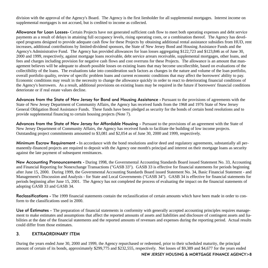division with the approval of the Agency's Board. The Agency is the first lienholder for all supplemental mortgages. Interest income on supplemental mortgages is not accrued, but is credited to income as collected.

Allowance for Loan Losses- Certain Projects have not generated sufficient cash flow to meet both operating expenses and debt service payments as a result of delays in attaining full occupancy levels, rising operating costs, or a combination thereof. The Agency has developed programs designed to provide adequate cash flow for these Projects by obtaining additional rental assistance subsidies from HUD, rent increases, additional contributions by limited-dividend sponsors, the State of New Jersey Bond and Housing Assistance Funds and the Agency's Administrative Fund. The Agency has provided allowances for loan losses aggregating \$122,723 and \$123,846 as of June 30, 2000 and 1999, respectively, against mortgage loans receivable, debt service arrears receivable, supplemental mortgages, other loans, and fees and charges including provision for negative cash flows and cost overruns for these Projects. The allowance is an amount that management believes will be adequate to absorb possible losses on existing loans that may become uncollectible, based on evaluations of the collectibility of the loans. The evaluations take into consideration such factors as changes in the nature and volume of the loan portfolio, overall portfolio quality, review of specific problem loans and current economic conditions that may affect the borrowers' ability to pay. Economic conditions may result in the necessity to change the allowance quickly in order to react to deteriorating financial conditions of the Agency's borrowers. As a result, additional provisions on existing loans may be required in the future if borrowers' financial conditions deteriorate or if real estate values decline.

Advances from the State of New Jersey for Bond and Housing Assistance - Pursuant to the provisions of agreements with the State of New Jersey Department of Community Affairs, the Agency has received funds from the 1968 and 1976 State of New Jersey General Obligation Bond Assistance Funds. These funds have been pledged as security for the bonds of certain bond resolutions and to provide supplemental financing to certain housing projects (Note 7).

Advances from the State of New Jersey for Affordable Housing - Pursuant to the provisions of an agreement with the State of New Jersey Department of Community Affairs, the Agency has received funds to facilitate the building of low income projects. Outstanding project commitments amounted to \$3,081 and \$2,054 as of June 30, 2000 and 1999, respectively.

Minimum Escrow Requirement - In accordance with the bond resolutions and/or deed and regulatory agreements, substantially all permanently-financed projects are required to deposit with the Agency one month's principal and interest on their mortgage loans as security against the late payment of subsequent remittances.

New Accounting Pronouncements - During 1998, the Governmental Accounting Standards Board issued Statement No. 33, Accounting and Financial Reporting for Nonexchange Transactions ("GASB 33"). GASB 33 is effective for financial statements for periods beginning after June 15, 2000. During 1999, the Governmental Accounting Standards Board issued Statement No. 34, Basic Financial Statement - and Management's Discussion and Analysis - for State and Local Governments ("GASB 34"). GASB 34 is effective for financial statements for periods beginning after June 15, 2001. The Agency has not completed the process of evaluating the impact on the financial statements of adopting GASB 33 and GASB 34.

Reclassifications - The 1999 financial statements contain the reclassification of certain amounts which have been made in order to conform to the classifications used in 2000.

Use of Estimates - The preparation of financial statements in conformity with generally accepted accounting principles requires management to make estimates and assumptions that affect the reported amounts of assets and liabilities and disclosure of contingent assets and liabilities at the date of the financial statements and the reported amounts of revenues and expenses during the reporting period. Actual results could differ from those estimates.

# 3. EXTRAORDINARY ITEM

During the years ended June 30, 2000 and 1999, the Agency repurchased or redeemed, prior to their scheduled maturity, the principal amount of certain of its bonds, approximately \$299,775 and \$232,555, respectively. Net losses of \$9,389 and \$4,677 for the years ended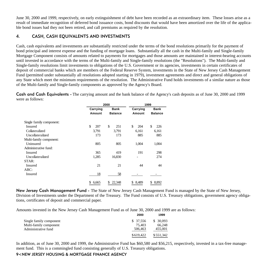June 30, 2000 and 1999, respectively, on early extinguishment of debt have been recorded as an extraordinary item. These losses arise as a result of immediate recognition of deferred bond issuance costs, bond discounts that would have been amortized over the life of the applicable bond issues had they not been retired, and call premiums as required by the resolution.

# 4. CASH, CASH EQUIVALENTS AND INVESTMENTS

Cash, cash equivalents and investments are substantially restricted under the terms of the bond resolutions primarily for the payment of bond principal and interest expense and the funding of mortgage loans. Substantially all the cash in the Multi-family and Single-family Mortgage Component consists of amounts related to payments for mortgages and those amounts are maintained in interest-bearing accounts until invested in accordance with the terms of the Multi-family and Single-family resolutions (the "Resolutions"). The Multi-family and Single-family resolutions limit investments to obligations of the U.S. Government or its agencies, investments in certain certificates of deposit of commercial banks which are members of the Federal Reserve System, investments in the State of New Jersey Cash Management Fund (permitted under substantially all resolutions adopted starting in 1979), investment agreements and direct and general obligations of any State which meet the minimum requirements of the resolution. The Administrative Fund holds investments of a similar nature as those of the Multi-family and Single-family components as approved by the Agency's Board.

Cash and Cash Equivalents - The carrying amount and the bank balance of the Agency's cash deposits as of June 30, 2000 and 1999 were as follows:

|                          |           | 2000           |           | 1999           |
|--------------------------|-----------|----------------|-----------|----------------|
|                          | Carrying  | Bank           | Carrying  | <b>Bank</b>    |
|                          | Amount    | <b>Balance</b> | Amount    | <b>Balance</b> |
| Single family component: |           |                |           |                |
| <b>Insured</b>           | \$<br>207 | \$<br>251      | \$<br>204 | \$<br>226      |
| Collateralized           | 3,791     | 3,791          | 6,161     | 6,161          |
| Uncollateralized         | 173       | 173            | 885       | 885            |
| Multi-family component:  |           |                |           |                |
| Uninsured                | 805       | 805            | 1,004     | 1,004          |
| Administrative fund:     |           |                |           |                |
| Insured                  | 365       | 419            | 191       | 298            |
| Uncollateralized         | 1,285     | 16,830         |           | 274            |
| STAR:                    |           |                |           |                |
| <b>Insured</b>           | 21        | 21             | 44        | 44             |
| $ABC$ :                  |           |                |           |                |
| Insured                  | 18        | 58             |           |                |
|                          | 6,665     |                |           |                |

New Jersey Cash Management Fund - The State of New Jersey Cash Management Fund is managed by the State of New Jersey, Division of Investments under the Department of the Treasury. The Fund consists of U.S. Treasury obligations, government agency obligations, certificates of deposit and commercial paper.

Amounts invested in the New Jersey Cash Management Fund as of June 30, 2000 and 1999 are as follows:

|                         | 2000      | 1999      |
|-------------------------|-----------|-----------|
| Single family component | \$ 37,556 | \$ 30,093 |
| Multi-family component  | 75.403    | 66.248    |
| Administrative fund     | 506,463   | 455,001   |
|                         | \$619.422 | \$551,342 |

In addition, as of June 30, 2000 and 1999, the Administrative Fund has \$60,580 and \$56,215, respectively, invested in a tax-free management fund. This is a commingled fund consisting generally of U.S. Treasury obligations.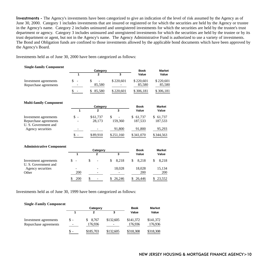Investments - The Agency's investments have been categorized to give an indication of the level of risk assumed by the Agency as of June 30, 2000. Category 1 includes investments that are insured or registered or for which the securities are held by the Agency or trustee in the Agency's name. Category 2 includes uninsured and unregistered investments for which the securities are held by the trustee's trust department or agency. Category 3 includes uninsured and unregistered investments for which the securities are held by the trustee or by its trust department or agent, but not in the Agency's name. The Agency Administrative Fund is authorized to use a variety of investments. The Bond and Obligation funds are confined to those investments allowed by the applicable bond documents which have been approved by the Agency's Board.

Investments held as of June 30, 2000 have been categorized as follows:

| <b>Single-family Component</b>                |                 |                |             |               |               |
|-----------------------------------------------|-----------------|----------------|-------------|---------------|---------------|
|                                               |                 | Category       |             | <b>Book</b>   | <b>Market</b> |
|                                               | 1               | $\mathbf{2}$   | 3           | Value         | Value         |
| Investment agreements                         | \$              | \$             | \$220,601   | \$220,601     | \$220,601     |
| Repurchase agreements                         |                 | 85,580         |             | 85,580        | 85,580        |
|                                               |                 | 85,580<br>\$   | \$220,601   | \$306,181     | \$306,181     |
| <b>Multi-family Component</b>                 |                 |                |             |               |               |
|                                               |                 | Category       |             | <b>Book</b>   | <b>Market</b> |
|                                               | 1               | $\mathbf{z}$   | 3           | Value         | Value         |
| Investment agreements                         | $\mathsf{\$}$ - | \$61,737       | \$          | \$61,737      | \$61,737      |
| Repurchase agreements<br>U.S. Government and  |                 | 28,173         | 159,360     | 187,533       | 187,533       |
| Agency securities                             |                 |                | 91,800      | 91,800        | 95,293        |
|                                               |                 | \$89,910       | \$251,160   | \$341,070     | \$344,563     |
| <b>Administrative Component</b>               |                 |                |             |               |               |
|                                               |                 | Category       |             | <b>Book</b>   | <b>Market</b> |
|                                               | 1               | $\overline{2}$ | 3           | Value         | Value         |
| Investment agreements<br>U. S. Government and | \$              | \$             | \$<br>8,218 | \$<br>8,218   | \$<br>8,218   |
| Agency securities                             |                 |                | 18,028      | 18,028        | 15,134        |
| Other                                         | 200             |                |             | 200           | 200           |
|                                               | 200<br>S        | \$             | S<br>26,246 | \$.<br>26,446 | 23,552<br>S   |

Investments held as of June 30, 1999 have been categorized as follows:

**Single -Family Component**

|                       |                          | Category  |           |           | <b>Market</b> |  |
|-----------------------|--------------------------|-----------|-----------|-----------|---------------|--|
|                       |                          |           | 3         | Value     | Value         |  |
| Investment agreements | Տ -                      | 8.767     | \$132,605 | \$141,372 | \$141,372     |  |
| Repurchase agreements | $\overline{\phantom{a}}$ | 176.936   |           | 176.936   | 176.936       |  |
|                       | Տ -                      | \$185,703 | \$132,605 | \$318,308 | \$318,308     |  |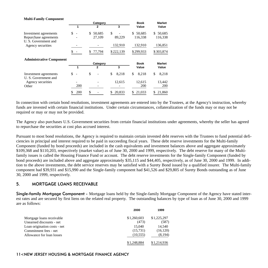#### **Multi-Family Component**

|                                               | Category                       |              |             | <b>Book</b>  | <b>Market</b> |  |
|-----------------------------------------------|--------------------------------|--------------|-------------|--------------|---------------|--|
|                                               |                                | 2            | 3           | Value        | Value         |  |
| Investment agreements                         | \$<br>$\overline{\phantom{a}}$ | 50.685<br>\$ | \$          | 50,685<br>\$ | 50,685<br>\$  |  |
| Repurchase agreements<br>U. S. Government and |                                | 27,109       | 89,229      | 116,338      | 116,338       |  |
| Agency securities                             |                                |              | 132,910     | 132,910      | 136,851       |  |
|                                               |                                | \$ 77,794    | \$222,139   | \$299,933    | \$303,874     |  |
| <b>Administrative Component</b>               |                                |              |             |              |               |  |
|                                               |                                | Category     |             | <b>Book</b>  | <b>Market</b> |  |
|                                               |                                | 2            | 3           | Value        | Value         |  |
| Investment agreements<br>U.S. Government and  | \$<br>ä,                       | \$           | \$<br>8,218 | \$<br>8,218  | \$<br>8,218   |  |
| Agency securities                             |                                |              | 12.615      | 12,615       | 13,442        |  |
| Other                                         | 200                            |              |             | 200          | 200           |  |
|                                               | 200<br>S                       | \$           | 20,833<br>S | 21,033       | 21,860<br>S   |  |

In connection with certain bond resolutions, investment agreements are entered into by the Trustees, at the Agency's instruction, whereby funds are invested with certain financial institutions. Under certain circumstances, collateralization of the funds may or may not be required or may or may not be provided.

The Agency also purchases U.S. Government securities from certain financial institutions under agreements, whereby the seller has agreed to repurchase the securities at cost plus accrued interest.

Pursuant to most bond resolutions, the Agency is required to maintain certain invested debt reserves with the Trustees to fund potential deficiencies in principal and interest required to be paid in succeeding fiscal years. These debt reserve investments for the Multi-family Component (funded by bond proceeds) are included in the cash equivalents and investment balances above and aggregate approximately \$109,368 and \$110,203, respectively (market value) as of June 30, 2000 and 1999, respectively. The debt reserve for many of the Multifamily issues is called the Housing Finance Fund or account. The debt reserve investments for the Single-family Component (funded by bond proceeds) are included above and aggregate approximately \$35,115 and \$44,405, respectively, as of June 30, 2000 and 1999. In addition to the above investments, the debt service reserves may be satisfied with a Surety Bond issued by a qualified insurer. The Multi-family component had \$39,931 and \$15,990 and the Single-family component had \$41,526 and \$29,805 of Surety Bonds outstanding as of June 30, 2000 and 1999, respectively.

## 5. MORTGAGE LOANS RECEIVABLE

Single-family Mortgage Component - Mortgage loans held by the Single-family Mortgage Component of the Agency have stated interest rates and are secured by first liens on the related real property. The outstanding balances by type of loan as of June 30, 2000 and 1999 are as follows:

|                              | 2000        | 1999        |
|------------------------------|-------------|-------------|
| Mortgage loans receivable    | \$1,260,603 | \$1,225,297 |
| Unearned discounts - net     | (473)       | (587)       |
| Loan origination costs - net | 15,040      | 14.540      |
| Commitment fees - net        | (15,731)    | (16, 120)   |
| Allowance for loan losses    | (10, 555)   | (8,194)     |
|                              | \$1,248,884 | \$1,214,936 |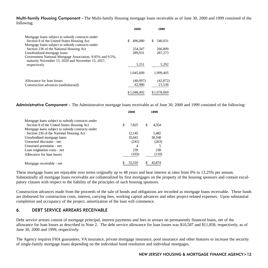Multi-family Housing Component - The Multi-family Housing mortgage loans receivable as of June 30, 2000 and 1999 consisted of the following:

|                                                                                                                | 2000          | 1999          |
|----------------------------------------------------------------------------------------------------------------|---------------|---------------|
| Mortgage loans subject to subsidy contracts under                                                              |               |               |
| Section 8 of the United States Housing Act                                                                     | \$<br>496,080 | 540,031<br>S. |
| Mortgage loans subject to subsidy contracts under                                                              |               |               |
| Section 236 of the National Housing Act                                                                        | 254.347       | 266,809       |
| Unsubsidized mortgage loans                                                                                    | 289.931       | 287,273       |
| Government National Mortgage Association, 9.95% and 9.5%,<br>maturity November 15, 2020 and November 15, 2027, |               |               |
| respectively                                                                                                   | 5,251         | 5,292         |
|                                                                                                                | 1.045.609     | 1.099.405     |
| Allowance for loan losses                                                                                      | (40,097)      | (42, 872)     |
| Construction advances (undisbursed)                                                                            | 42,980        | 21,536        |
|                                                                                                                | \$1,048,492   | \$1,078,069   |

Administrative Component - The Administrative mortgage loans receivable as of June 30, 2000 and 1999 consisted of the following:

|                                                   | 2000        | 1999        |
|---------------------------------------------------|-------------|-------------|
| Mortgage loans subject to subsidy contracts under |             |             |
| Section 8 of the United States Housing Act        | \$<br>7.825 | \$<br>4,354 |
| Mortgage loans subject to subsidy contracts under |             |             |
| Section 236 of the National Housing Act           | 12,145      | 5,482       |
| Unsubsidized mortgage loans                       | 35,641      | 36,168      |
| Unearned discounts - net                          | (241)       | (263)       |
| Unearned premiums - net                           | 4           |             |
| Loan origination costs - net                      | 239         | 238         |
| Allowance for loan losses                         | (103)       | (110)       |
| Mortgage receivable - net                         | 55.510      | 45.874      |

These mortgage loans are repayable over terms originally up to 48 years and bear interest at rates from 0% to 13.25% per annum. Substantially all mortgage loans receivable are collateralized by first mortgages on the property of the housing sponsors and contain exculpatory clauses with respect to the liability of the principles of such housing sponsors.

Construction advances made from the proceeds of the sale of bonds and obligations are recorded as mortgage loans receivable. These funds are disbursed for construction costs, interest, carrying fees, working capital advances and other project-related expenses. Upon substantial completion and occupancy of the project, amortization of the loan will commence.

## 6. DEBT SERVICE ARREARS RECEIVABLE

Debt service arrears consist of mortgage principal, interest payments and fees in arrears on permanently financed loans, net of the allowance for loan losses as described in Note 2. The debt service allowance for loan losses was \$10,587 and \$11,858, respectively, as of June 30, 2000 and 1999, respectively.

The Agency requires FHA guarantees, VA insurance, private mortgage insurance, pool insurance and other features to increase the security of single-family mortgage loans depending on the individual bond resolution and individual mortgages.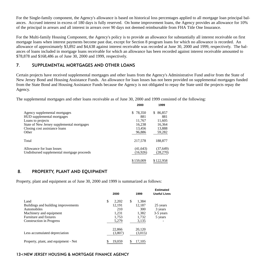For the Single-family component, the Agency's allowance is based on historical loss percentages applied to all mortgage loan principal balances. Accrued interest in excess of 180 days is fully reserved. On home improvement loans, the Agency provides an allowance for 10% of the principal in arrears and all interest in arrears over 90 days not deemed reimbursable from FHA Title One Insurance.

For the Multi-family Housing Component, the Agency's policy is to provide an allowance for substantially all interest receivable on first mortgage loans when interest payments become past due, except for Section 8 program loans for which no allowance is recorded. An allowance of approximately \$3,892 and \$4,638 against interest receivable was recorded at June 30, 2000 and 1999, respectively. The balances of loans included in mortgage loans receivable for which an allowance has been recorded against interest receivable amounted to \$78,878 and \$168,486 as of June 30, 2000 and 1999, respectively.

# 7. SUPPLEMENTAL MORTGAGES AND OTHER LOANS

Certain projects have received supplemental mortgages and other loans from the Agency's Administrative Fund and/or from the State of New Jersey Bond and Housing Assistance Funds. An allowance for loan losses has not been provided on supplemental mortgages funded from the State Bond and Housing Assistance Funds because the Agency is not obligated to repay the State until the projects repay the Agency.

|                                            | ----         |             |
|--------------------------------------------|--------------|-------------|
| Agency supplemental mortgages              | 78.350<br>S. | 86,857<br>S |
| HUD supplemental mortgages                 | 881          | 881         |
| Loans to projects                          | 11.767       | 11,605      |
| State of New Jersey supplemental mortgages | 16.238       | 16,364      |
| Closing cost assistance loans              | 13,456       | 13,888      |
| Other                                      | 96,886       | 59,282      |
| Total                                      | 217,578      | 188,877     |
| Allowance for loan losses                  | (41, 643)    | (37, 649)   |
| Undisbursed supplemental mortgage proceeds | (16,926)     | (28,270)    |
|                                            | \$159,009    | \$122,958   |

# 8. PROPERTY, PLANT AND EQUIPMENT

Property, plant and equipment as of June 30, 2000 and 1999 is summarized as follows:

|                                                                               | 2000                         | 1999                         | <b>Estimated</b><br><b>Useful Lives</b> |
|-------------------------------------------------------------------------------|------------------------------|------------------------------|-----------------------------------------|
| Land<br>Buildings and building improvements<br>Automobiles                    | \$<br>2,202<br>12,191<br>210 | \$<br>1,384<br>12,187<br>300 | 25 years<br>3 years                     |
| Machinery and equipment<br>Furniture and fixtures<br>Construction in Progress | 1,231<br>1,753<br>5,279      | 1,382<br>1,732<br>3,135      | 3-5 years<br>5 years<br>٠               |
| Less accumulated depreciation                                                 | 22,866<br>(3,807)            | 20,120<br>(3.015)            |                                         |
| Property, plant, and equipment - Net                                          | 19.059<br>S                  | S<br>17.105                  |                                         |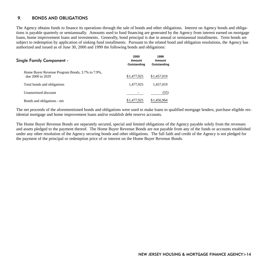# 9. BONDS AND OBLIGATIONS

The Agency obtains funds to finance its operations through the sale of bonds and other obligations. Interest on Agency bonds and obligations is payable quarterly or semiannually. Amounts used to fund financing are generated by the Agency from interest earned on mortgage loans, home improvement loans and investments. Generally, bond principal is due in annual or semiannual installments. Term bonds are subject to redemption by application of sinking fund installments. Pursuant to the related bond and obligation resolutions, the Agency has authorized and issued as of June 30, 2000 and 1999 the following bonds and obligations:

| Single Family Component -                                           | 2000<br>Amount<br>Outstanding | 1999<br>Amount<br>Outstanding |
|---------------------------------------------------------------------|-------------------------------|-------------------------------|
| Home Buyer Revenue Program Bonds, 3.7% to 7.9%,<br>due 2000 to 2029 | \$1,477,925                   | \$1,457,019                   |
| Total bonds and obligations                                         | 1.477.925                     | 1,457,019                     |
| Unamortized discount                                                |                               | (55)                          |
| Bonds and obligations - net                                         | \$1,477,925                   | \$1,456,964                   |

The net proceeds of the aforementioned bonds and obligations were used to make loans to qualified mortgage lenders, purchase eligible residential mortgage and home improvement loans and/or establish debt reserve accounts.

The Home Buyer Revenue Bonds are separately secured, special and limited obligations of the Agency payable solely from the revenues and assets pledged to the payment thereof. The Home Buyer Revenue Bonds are not payable from any of the funds or accounts established under any other resolution of the Agency securing bonds and other obligations. The full faith and credit of the Agency is not pledged for the payment of the principal or redemption price of or interest on the Home Buyer Revenue Bonds.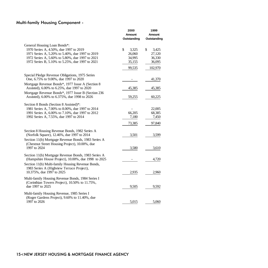# Multi-family Housing Component -

|                                                                                                       | 2000<br>Amount | 1999<br>Amount |
|-------------------------------------------------------------------------------------------------------|----------------|----------------|
|                                                                                                       | Outstanding    | Outstanding    |
| General Housing Loan Bonds*:                                                                          |                |                |
| 1970 Series A, 4.50%, due 1997 to 2019                                                                | \$<br>3,325    | \$<br>3,425    |
| 1971 Series A, 5.20% to 5.40%, due 1997 to 2019                                                       | 26,060         | 27,120         |
| 1972 Series A, 5.60% to 5.80%, due 1997 to 2021                                                       | 34,995         | 36,330         |
| 1972 Series B, 5.10% to 5.25%, due 1997 to 2021                                                       | 35,155         | 36,095         |
|                                                                                                       | 99,535         | 102,970        |
| Special Pledge Revenue Obligations, 1975 Series                                                       |                |                |
| One, 6.75% to 9.00%, due 1997 to 2020                                                                 |                | 41,370         |
| Mortgage Revenue Bonds*, 1977 Issue A (Section 8)<br>Assisted), 6.00% to 6.25%, due 1997 to 2020      | 45,385         | 45,385         |
| Mortgage Revenue Bonds*, 1977 Issue B (Section 236)                                                   |                |                |
| Assisted), 6.00% to 6.375%, due 1998 to 2026                                                          | 59,255         | 60,225         |
| Section 8 Bonds (Section 8 Assisted)*:                                                                |                |                |
| 1981 Series A, 7.00% to 8.00%, due 1997 to 2014                                                       |                | 22,005         |
| 1991 Series A, 6.00% to 7.10%, due 1997 to 2012                                                       | 66,205         | 68,385         |
| 1992 Series A, 7.55%, due 1997 to 2014                                                                | 7,180          | 7,450          |
|                                                                                                       | 73,385         | 97,840         |
| Section 8 Housing Revenue Bonds, 1982 Series A                                                        |                |                |
| (Norfolk Square), 12.46%, due 1997 to 2014                                                            | 3,501          | 3,599          |
| Section 11(b) Mortgage Revenue Bonds, 1983 Series A<br>(Chestnut Street Housing Project), 10.00%, due |                |                |
| 1997 to 2024                                                                                          | 3,580          | 3,610          |
| Section 11(b) Mortgage Revenue Bonds, 1983 Series A                                                   |                |                |
| (Hampshire House Project), 10.00%, due 1998 to 2025                                                   |                | 4,720          |
| Section 11(b) Multi-family Housing Revenue Bonds,                                                     |                |                |
| 1983 Series A (Highview Terrace Project),                                                             |                |                |
| 10.375%, due 1997 to 2025                                                                             | 2,935          | 2,960          |
| Multi-family Housing Revenue Bonds, 1984 Series I                                                     |                |                |
| (Corinthian Towers Project), 10.50% to 11.75%,                                                        |                |                |
| due 1997 to 2025                                                                                      | 9,505          | 9,592          |
| Multi-family Housing Revenue, 1985 Series I                                                           |                |                |
| (Roger Gardens Project), 9.60% to 11.40%, due                                                         |                |                |
| 1997 to 2026                                                                                          | 5,015          | 5,060          |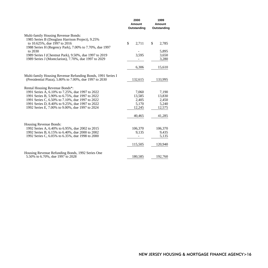|                                                                                                                                                                                                                                                                                                                | 2000<br>Amount<br>Outstanding                         | 1999<br>Amount<br>Outstanding                         |
|----------------------------------------------------------------------------------------------------------------------------------------------------------------------------------------------------------------------------------------------------------------------------------------------------------------|-------------------------------------------------------|-------------------------------------------------------|
| Multi-family Housing Revenue Bonds:<br>1985 Series B (Douglass Harrison Project), 9.25%<br>to 10.625%, due 1997 to 2016<br>1988 Series H (Regency Park), 7.00% to 7.70%, due 1997<br>to 2030<br>1989 Series I (Chestnut Park), 9.50%, due 1997 to 2019<br>1989 Series J (Montclarion), 7.70%, due 1997 to 2029 | \$<br>2,711<br>3,595<br>6,306                         | \$<br>2,785<br>5,895<br>3,650<br>3,280<br>15,610      |
| Multi-family Housing Revenue Refunding Bonds, 1991 Series I<br>(Presidential Plaza), 5.80% to 7.00%, due 1997 to 2030                                                                                                                                                                                          | 132,615                                               | 133,995                                               |
| Rental Housing Revenue Bonds*:<br>1991 Series A, 6.10% to 7.25%, due 1997 to 2022<br>1991 Series B, 5.90% to 6.75%, due 1997 to 2022<br>1991 Series C, 6.50% to 7.10%, due 1997 to 2022<br>1991 Series D, 8.40% to 9.25%, due 1997 to 2022<br>1992 Series E, 7.00% to 9.00%, due 1997 to 2024                  | 7,060<br>13,585<br>2,405<br>5,170<br>12.245<br>40,465 | 7,190<br>13,830<br>2,450<br>5,240<br>12,575<br>41,285 |
| Housing Revenue Bonds:<br>1992 Series A, 6.40% to 6.95%, due 2002 to 2015<br>1992 Series B, 6.15% to 6.40%, due 2000 to 2002<br>1992 Series C, 6.05% to 6.35%, due 1998 to 2000                                                                                                                                | 106,370<br>9,135<br>115,505                           | 106,370<br>9,435<br>5,135<br>120,940                  |
| Housing Revenue Refunding Bonds, 1992 Series One<br>5.50% to 6.70%, due 1997 to 2028                                                                                                                                                                                                                           | 180,585                                               | 192,760                                               |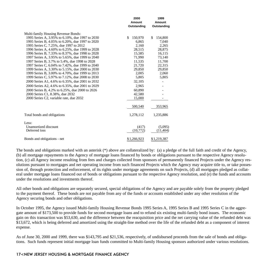|                                                 | 2000<br>Amount<br>Outstanding | 1999<br>Amount<br>Outstanding |
|-------------------------------------------------|-------------------------------|-------------------------------|
| Multi-family Housing Revenue Bonds:             |                               |                               |
| 1995 Series A, 3.95% to 6.10%, due 1997 to 2030 | \$<br>150,970                 | \$.<br>154,800                |
| 1995 Series B, 4.05% to 6.20%, due 1997 to 2020 | 6.865                         | 7,040                         |
| 1995 Series C, 7.25%, due 1997 to 2012          | 2,160                         | 2,265                         |
| 1996 Series A, 4.60% to 6.25%, due 1999 to 2028 | 28.515                        | 28,875                        |
| 1996 Series B, 7.33% to 8.37%, due 1998 to 2028 | 15,585                        | 16,115                        |
| 1997 Series A, 3.95% to 5.65%, due 1999 to 2040 | 71,990                        | 73,140                        |
| 1997 Series B, 3.7% to 5.4%, due 1998 to 2028   | 11,535                        | 11,700                        |
| 1997 Series C, 6.04% to 7.42%, due 1999 to 2040 | 21,720                        | 22,315                        |
| 1999 Series A, 3.30% to 5.15%, due 2000 to 2030 | 29,850                        | 29,850                        |
| 1999 Series B, 3.00% to 4.70%, due 1999 to 2013 | 2,005                         | 2,060                         |
| 1999 Series C, 5.97% to 7.12%, due 2008 to 2030 | 5,805                         | 5,805                         |
| 2000 Series A1, 4.6% to 6.35%, due 2001 to 2032 | 32,105                        |                               |
| 2000 Series A2, 4.6% to 6.35%, due 2001 to 2029 | 2,965                         |                               |
| 2000 Series B, 4.2% to 6.25%, due 2000 to 2026  | 60,890                        |                               |
| 2000 Series C1, 8.38%, due 2032                 | 42,580                        |                               |
| 2000 Series C2, variable rate, due 2032         | 15,000                        |                               |
|                                                 |                               |                               |
|                                                 | 500,540                       | 353,965                       |
| Total bonds and obligations                     | 1,278,112                     | 1,235,886                     |
| Less:                                           |                               |                               |
| Unamortized discount                            | (417)                         | (5,095)                       |
| Deferred loss                                   | (10,772)                      | (11, 404)                     |
| Bonds and obligations - net                     | \$1,266,923                   | \$1,219,387                   |

The bonds and obligations marked with an asterisk (\*) above are collateralized by: (a) a pledge of the full faith and credit of the Agency, (b) all mortgage repayments to the Agency of mortgage loans financed by bonds or obligations pursuant to the respective Agency resolution, (c) all Agency income resulting from fees and charges collected from sponsors of permanently financed Projects under the Agency resolutions pursuant to mortgages and net operating income from such financed Projects which the Agency may acquire title to, or take possession of, through protection and enforcement, of its rights under mortgage agreements on such Projects, (d) all mortgages pledged as collateral under mortgage loans financed out of bonds or obligations pursuant to the respective Agency resolution, and (e) the funds and accounts under the resolutions and investments thereof.

All other bonds and obligations are separately secured, special obligations of the Agency and are payable solely from the property pledged to the payment thereof. These bonds are not payable from any of the funds or accounts established under any other resolution of the Agency securing bonds and other obligations.

In October 1995, the Agency issued Multi-family Housing Revenue Bonds 1995 Series A, 1995 Series B and 1995 Series C in the aggregate amount of \$173,500 to provide funds for second mortgage loans and to refund six existing multi-family bond issues. The economic gain on this transaction was \$53,630, and the difference between the reacquisition price and the net carrying value of the refunded debt was \$13,672, which is being deferred and amortized using the straight-line method over the life of the refunded debt as a component of interest expense.

As of June 30, 2000 and 1999, there was \$143,795 and \$21,536, respectively, of undisbursed proceeds from the sale of bonds and obligations. Such funds represent initial mortgage loan funds committed to Multi-family Housing sponsors authorized under various resolutions.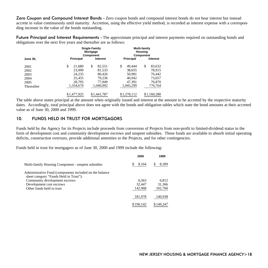Zero Coupon and Compound Interest Bonds - Zero coupon bonds and compound interest bonds do not bear interest but instead accrete in value continuously until maturity. Accretion, using the effective yield method, is recorded as interest expense with a corresponding increase in the value of the bonds outstanding.

Future Principal and Interest Requirements - The approximate principal and interest payments required on outstanding bonds and obligations over the next five years and thereafter are as follows:

|                                                    | <b>Single Family</b><br>Mortgage<br>Component                     |                                                                   |                                                                   | Multi-family<br><b>Housing</b><br>Component                     |  |
|----------------------------------------------------|-------------------------------------------------------------------|-------------------------------------------------------------------|-------------------------------------------------------------------|-----------------------------------------------------------------|--|
| <b>June 30.</b>                                    | <b>Principal</b>                                                  | Interest                                                          | <b>Principal</b>                                                  | Interest                                                        |  |
| 2001<br>2002<br>2003<br>2004<br>2005<br>Thereafter | \$<br>21,680<br>23,090<br>24.235<br>25.455<br>28.795<br>1,354,670 | \$<br>82,551<br>81,533<br>80.426<br>79.236<br>77.949<br>1,040,092 | \$<br>49.444<br>38,055<br>50,981<br>46.942<br>47.391<br>1,045,299 | \$<br>83,632<br>78.915<br>76.442<br>73,657<br>70,870<br>776,764 |  |
|                                                    | \$1,477,925                                                       | \$1,441,787                                                       | \$1,278,112                                                       | \$1,160,280                                                     |  |

The table above states principal at the amount when originally issued and interest at the amount to be accreted by the respective maturity dates. Accordingly, total principal above does not agree with the bonds and obligation tables which state the bond amounts at their accreted value as of June 30, 2000 and 1999.

## 10. FUNDS HELD IN TRUST FOR MORTGAGORS

Funds held by the Agency for its Projects include proceeds from conversion of Projects from non-profit to limited-dividend status in the form of development cost and community development escrows and unspent subsidies. These funds are available to absorb initial operating deficits, construction overruns, provide additional amenities to the Projects, and for other contingencies.

Funds held in trust for mortgagors as of June 30, 2000 and 1999 include the following:

|                                                                         | 2000      | 1999      |
|-------------------------------------------------------------------------|-----------|-----------|
| Multi-family Housing Component - unspent subsidies                      | 8,164     | 8,309     |
| Administrative Fund (components included on the balance)                |           |           |
| sheet category "Funds Held in Trust"):<br>Community development escrows | 6,563     | 6.812     |
| Development cost escrows                                                | 32,447    | 31,366    |
| Other funds held in trust                                               | 142,968   | 102,760   |
|                                                                         | 181,978   | 140,938   |
|                                                                         | \$190,142 | \$149,247 |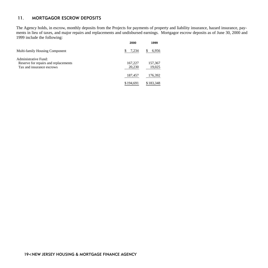# 11. MORTGAGOR ESCROW DEPOSITS

The Agency holds, in escrow, monthly deposits from the Projects for payments of property and liability insurance, hazard insurance, payments in lieu of taxes, and major repairs and replacements and undisbursed earnings. Mortgagor escrow deposits as of June 30, 2000 and 1999 include the following:

|                                                                                           | 2000              | 1999              |
|-------------------------------------------------------------------------------------------|-------------------|-------------------|
| Multi-family Housing Component                                                            | S<br>7.234        | 6,956             |
| Administrative Fund:<br>Reserve for repairs and replacements<br>Tax and insurance escrows | 167,227<br>20,230 | 157,367<br>19,025 |
|                                                                                           | 187,457           | 176,392           |
|                                                                                           | \$194,691         | \$183,348         |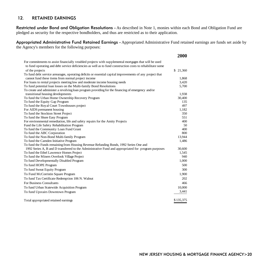# 12. RETAINED EARNINGS

Restricted under Bond and Obligation Resolutions - As described in Note 1, monies within each Bond and Obligation Fund are pledged as security for the respective bondholders, and thus are restricted as to their application.

Appropriated Administrative Fund Retained Earnings - Appropriated Administrative Fund retained earnings are funds set aside by the Agency's members for the following purposes:

|                                                                                                            | 2000      |
|------------------------------------------------------------------------------------------------------------|-----------|
| For commitments to assist financially troubled projects with supplemental mortgages that will be used      |           |
| to fund operating and debt service deficiencies as well as to fund construction costs to rehabilitate some |           |
| of the projects                                                                                            | \$21,360  |
| To fund debt service arrearages, operating deficits or essential capital improvements of any project that  |           |
| cannot fund these items from normal project income                                                         | 1,868     |
| For loans to rental projects meeting low and moderate income housing needs                                 | 3,420     |
| To fund potential loan losses on the Multi-family Bond Resolutions                                         | 5,700     |
| To create and administer a revolving loan program providing for the financing of emergency and/or          |           |
| transitional housing developments                                                                          | 1,938     |
| To fund the Urban Home Ownership Recovery Program                                                          | 30,400    |
| To fund the Equity Gap Program                                                                             | 135       |
| To fund the Royal Court Townhouses project                                                                 | 497       |
| For AIDS permanent housing                                                                                 | 1,182     |
| To fund the Stockton Street Project                                                                        | 350       |
| To fund the Shore Easy Program                                                                             | 551       |
| For environmental remediation, life and safety repairs for the Amity Projects                              | 400       |
| Fund the Life Safety Rehabilitation Program                                                                | 50        |
| To fund the Community Loan Fund Grant                                                                      | 400       |
| To fund the ABC Corporation                                                                                | 800       |
| To fund the Non-Bond Multi-family Program                                                                  | 13,944    |
| To fund the Camden Initiative Program                                                                      | 1,486     |
| To fund the Funds remaining from Housing Revenue Refunding Bonds, 1992 Series One and                      |           |
| 1992 Series A, B and D transferred to the Administrative Fund and appropriated for program purposes        | 30,600    |
| To fund the Ethel Lawrence Homes Project                                                                   | 1,545     |
| To fund the Miners Overlook Village Project                                                                | 940       |
| To fund Developmentally Disabled Program                                                                   | 1,000     |
| To fund HOPE Program                                                                                       | 500       |
| To fund Sweat Equity Program                                                                               | 300       |
| To Fund McCorristin Square Program                                                                         | 1,900     |
| To fund Tax Certificate Redemption 106 N. Walnut                                                           | 202       |
| For Business Consultants                                                                                   | 466       |
| To fund Urban Statewide Acquisition Program                                                                | 10.000    |
| To fund Upstairs Downtown Program                                                                          | 3,441     |
|                                                                                                            |           |
| Total appropriated retained earnings                                                                       | \$135,375 |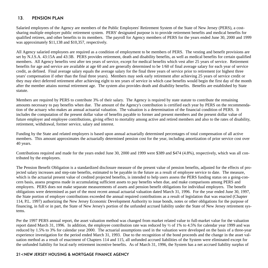# 13. PENSION PLAN

Salaried employees of the Agency are members of the Public Employees' Retirement System of the State of New Jersey (PERS), a costsharing multiple employer public retirement system. PERS' designated purpose is to provide retirement benefits and medical benefits for qualified retirees, and other benefits to its members. The payroll for Agency members of PERS for the years ended June 30, 2000 and 1999 was approximately \$11,138 and \$10,357, respectively.

All Agency salaried employees are required as a condition of employment to be members of PERS. The vesting and benefit provisions are set by N.J.S.A. 43:15A and 43:3B. PERS provides retirement, death and disability benefits, as well as medical benefits for certain qualified members. All Agency benefits vest after ten years of service, except for medical benefits which vest after 25 years of service. Retirement benefits for age and service are available at age 60 and are generally determined to be 1/60 of final average salary for each year of service credit, as defined. Final average salary equals the average salary for the final three years of service prior to retirement (or highest three years' compensation if other than the final three years). Members may seek early retirement after achieving 25 years of service credit or they may elect deferred retirement after achieving eight to ten years of service in which case benefits would begin the first day of the month after the member attains normal retirement age. The system also provides death and disability benefits. Benefits are established by State statute.

Members are required by PERS to contribute 3% of their salary. The Agency is required by state statute to contribute the remaining amounts necessary to pay benefits when due. The amount of the Agency's contribution is certified each year by PERS on the recommendation of the actuary who makes an annual actuarial valuation. The valuation is a determination of the financial condition of PERS. It includes the computation of the present dollar value of benefits payable to former and present members and the present dollar value of future employer and employee contributions, giving effect to mortality among active and retired members and also to the rates of disability, retirement, withdrawal, former service, salary and interest.

Funding by the State and related employers is based upon annual actuarially determined percentages of total compensation of all active members. This amount approximates the actuarially determined pension cost for the year, including amortization of prior service cost over 40 years.

Contributions required and made for the years ended June 30, 2000 and 1999 were \$389 and \$474 (4.8%), respectively, which was all contributed by the employees.

The Pension Benefit Obligation is a standardized disclosure measure of the present value of pension benefits, adjusted for the effects of projected salary increases and step-rate benefits, estimated to be payable in the future as a result of employee service to date. The measure, which is the actuarial present value of credited projected benefits, is intended to help users assess the PERS funding status on a going-concern basis, assess progress made in accumulating sufficient assets to pay benefits when due, and make comparisons among PERS and employers. PERS does not make separate measurements of assets and pension benefit obligations for individual employers. The benefit obligations were determined as part of the most recent annual actuarial valuation dated March 31, 1996. For the year ended June 30, 1997, the State portion of employer contributions exceeded the annual required contributions as a result of legislation that was enacted (Chapter 114, P.L. 1997) authorizing the New Jersey Economic Development Authority to issue bonds, notes or other obligations for the purpose of financing, in full or in part, the State of New Jersey's portion of the unfunded accrued liability under the State of New Jersey retirement systems.

Per the 1997 PERS annual report, the asset valuation method was changed from market related value to full-market value for the valuation report dated March 31, 1996. In addition, the employee contribution rate was reduced by  $\frac{1}{2}$  of 1% to 4.5% for calendar year 1999 and was reduced by 1.5% to 3% for calendar year 2000. The actuarial assumptions used in the valuation were developed on the basis of a three-year experience investigation for the period ended March 31, 1993. Due to the recognition of the bond proceeds and the change in the asset valuation method as a result of enactment of Chapters 114 and 115, all unfunded accrued liabilities of the System were eliminated except for the unfunded liability for local early retirement incentive benefits. As of March 31, 1996, the System has a net accrued liability surplus of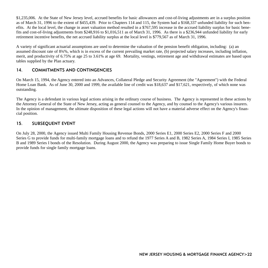\$1,235,006. At the State of New Jersey level, accrued benefits for basic allowances and cost-of-living adjustments are in a surplus position as of March 31, 1996 to the extent of \$455,439. Prior to Chapters 114 and 115, the System had a \$168,337 unfunded liability for such benefits. At the local level, the change in asset valuation method resulted in a \$767,595 increase in the accrued liability surplus for basic benefits and cost-of-living adjustments from \$248,916 to \$1,016,511 as of March 31, 1996. As there is a \$236,944 unfunded liability for early retirement incentive benefits, the net accrued liability surplus at the local level is \$779,567 as of March 31, 1996.

A variety of significant actuarial assumptions are used to determine the valuation of the pension benefit obligation, including: (a) an assumed discount rate of 8¾%, which is in excess of the current prevailing market rate, (b) projected salary increases, including inflation, merit, and productivity of 6.75% at age 25 to 3.61% at age 69. Mortality, vestings, retirement age and withdrawal estimates are based upon tables supplied by the Plan actuary.

# 14. COMMITMENTS AND CONTINGENCIES

On March 15, 1994, the Agency entered into an Advances, Collateral Pledge and Security Agreement (the "Agreement") with the Federal Home Loan Bank. As of June 30, 2000 and 1999, the available line of credit was \$18,637 and \$17,621, respectively, of which none was outstanding.

The Agency is a defendant in various legal actions arising in the ordinary course of business. The Agency is represented in these actions by the Attorney General of the State of New Jersey, acting as general counsel to the Agency, and by counsel to the Agency's various insurers. In the opinion of management, the ultimate disposition of these legal actions will not have a material adverse effect on the Agency's financial position.

# 15. SUBSEQUENT EVENT

On July 28, 2000, the Agency issued Multi Family Housing Revenue Bonds, 2000 Series E1, 2000 Series E2, 2000 Series F and 2000 Series G to provide funds for multi-family mortgage loans and to refund the 1977 Series A and B, 1982 Series A, 1984 Series I, 1985 Series B and 1989 Series I bonds of the Resolution. During August 2000, the Agency was preparing to issue Single Family Home Buyer bonds to provide funds for single family mortgage loans.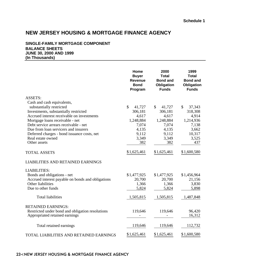#### **SINGLE-FAMILY MORTGAGE COMPONENT BALANCE SHEETS JUNE 30, 2000 AND 1999 (In Thousands)**

|                                                   | Home<br><b>Buyer</b><br>Revenue<br><b>Bond</b><br>Program | 2000<br><b>Total</b><br><b>Bond and</b><br>Obligation<br><b>Funds</b> | 1999<br><b>Total</b><br><b>Bond and</b><br>Obligation<br><b>Funds</b> |
|---------------------------------------------------|-----------------------------------------------------------|-----------------------------------------------------------------------|-----------------------------------------------------------------------|
| <b>ASSETS:</b>                                    |                                                           |                                                                       |                                                                       |
| Cash and cash equivalents,                        |                                                           |                                                                       |                                                                       |
| substantially restricted                          | \$<br>41,727                                              | \$<br>41,727                                                          | \$<br>37,343                                                          |
| Investments, substantially restricted             | 306,181                                                   | 306,181                                                               | 318,308                                                               |
| Accrued interest receivable on investments        | 4,617                                                     | 4,617                                                                 | 4,914                                                                 |
| Mortgage loans receivable - net                   | 1,248,884                                                 | 1,248,884                                                             | 1,214,936                                                             |
| Debt service arrears receivable - net             | 7,074                                                     | 7,074                                                                 | 7,138                                                                 |
| Due from loan servicers and insurers              | 4,135                                                     | 4,135                                                                 | 3,662                                                                 |
| Deferred charges - bond issuance costs, net       | 9,112                                                     | 9,112                                                                 | 10,317                                                                |
| Real estate owned                                 | 3,349                                                     | 3,349                                                                 | 3,525                                                                 |
| Other assets                                      | 382                                                       | 382                                                                   | 437                                                                   |
| <b>TOTAL ASSETS</b>                               | \$1,625,461                                               | \$1,625,461                                                           | \$1,600,580                                                           |
| LIABILITIES AND RETAINED EARNINGS                 |                                                           |                                                                       |                                                                       |
| <b>LIABILITIES:</b>                               |                                                           |                                                                       |                                                                       |
| Bonds and obligations - net                       | \$1,477,925                                               | \$1,477,925                                                           | \$1,456,964                                                           |
| Accrued interest payable on bonds and obligations | 20,700                                                    | 20,700                                                                | 21,156                                                                |
| Other liabilities                                 | 1,366                                                     | 1,366                                                                 | 3,830                                                                 |
| Due to other funds                                | 5,824                                                     | 5,824                                                                 | 5,898                                                                 |
| <b>Total liabilities</b>                          | 1,505,815                                                 | 1,505,815                                                             | 1,487,848                                                             |
| <b>RETAINED EARNINGS:</b>                         |                                                           |                                                                       |                                                                       |
| Restricted under bond and obligation resolutions  | 119,646                                                   | 119,646                                                               | 96,420                                                                |
| Appropriated retained earnings                    |                                                           |                                                                       | 16,312                                                                |
| Total retained earnings                           | 119,646                                                   | 119,646                                                               | 112,732                                                               |
|                                                   |                                                           |                                                                       |                                                                       |
| TOTAL LIABILITIES AND RETAINED EARNINGS           | \$1,625,461                                               | \$1,625,461                                                           | \$1,600,580                                                           |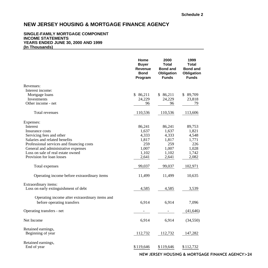#### **SINGLE-FAMILY MORTGAGE COMPONENT INCOME STATEMENTS YEARS ENDED JUNE 30, 2000 AND 1999 (In Thousands)**

|                                                | Home<br><b>Buyer</b><br><b>Revenue</b><br><b>Bond</b><br>Program | 2000<br>Total<br><b>Bond and</b><br>Obligation<br><b>Funds</b> | 1999<br>Total<br><b>Bond and</b><br>Obligation<br><b>Funds</b> |
|------------------------------------------------|------------------------------------------------------------------|----------------------------------------------------------------|----------------------------------------------------------------|
| Revenues:                                      |                                                                  |                                                                |                                                                |
| Interest income:                               |                                                                  |                                                                |                                                                |
| Mortgage loans                                 | \$86,211                                                         | \$86,211                                                       | \$89,709                                                       |
| Investments                                    | 24,229                                                           | 24,229                                                         | 23,818                                                         |
| Other income - net                             | 96                                                               | 96                                                             | 79                                                             |
| Total revenues                                 | 110,536                                                          | 110,536                                                        | 113,606                                                        |
| Expenses:                                      |                                                                  |                                                                |                                                                |
| Interest                                       | 86,241                                                           | 86,241                                                         | 89,753                                                         |
| Insurance costs                                | 1,637                                                            | 1,637                                                          | 1,821                                                          |
| Servicing fees and other                       | 4,333                                                            | 4,333                                                          | 4,548                                                          |
| Salaries and related benefits                  | 1,817                                                            | 1,817                                                          | 1,771                                                          |
| Professional services and financing costs      | 259                                                              | 259                                                            | 226                                                            |
| General and administrative expenses            | 1,007                                                            | 1,007                                                          | 1,028                                                          |
| Loss on sale of real estate owned              | 1,102                                                            | 1,102                                                          | 1,742                                                          |
| Provision for loan losses                      | 2,641                                                            | 2,641                                                          | 2,082                                                          |
| Total expenses                                 | 99,037                                                           | 99,037                                                         | 102,971                                                        |
| Operating income before extraordinary items    | 11,499                                                           | 11,499                                                         | 10,635                                                         |
| Extraordinary items:                           |                                                                  |                                                                |                                                                |
| Loss on early extinguishment of debt           | 4,585                                                            | 4,585                                                          | 3,539                                                          |
| Operating income after extraordinary items and |                                                                  |                                                                |                                                                |
| before operating transfers                     | 6,914                                                            | 6,914                                                          | 7,096                                                          |
| Operating transfers - net                      |                                                                  |                                                                | (41, 646)                                                      |
| Net Income                                     | 6,914                                                            | 6,914                                                          | (34, 550)                                                      |
| Retained earnings,<br>Beginning of year        | 112,732                                                          | 112,732                                                        | 147,282                                                        |
| Retained earnings,<br>End of year              | \$119,646                                                        | \$119,646                                                      | \$112,732                                                      |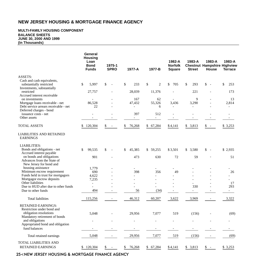#### **MULTI-FAMILY HOUSING COMPONENT BALANCE SHEETS JUNE 30, 2000 AND 1999 (In Thousands)**

|                                                                                      | General<br><b>Housing</b><br>Loan<br><b>Bond</b><br><b>Funds</b> | 1975-1<br><b>SPRO</b> | 1977-A                   | 1977-B                   | 1982-A<br><b>Norfolk</b><br><b>Square</b> | 1983-A<br><b>Street</b> | 1983-A<br><b>Chestnut Hampshire Highview</b><br>House | 1983-A<br><b>Terrace</b> |
|--------------------------------------------------------------------------------------|------------------------------------------------------------------|-----------------------|--------------------------|--------------------------|-------------------------------------------|-------------------------|-------------------------------------------------------|--------------------------|
| ASSETS:                                                                              |                                                                  |                       |                          |                          |                                           |                         |                                                       |                          |
| Cash and cash equivalents,<br>substantially restricted<br>Investments, substantially | \$<br>5,997                                                      | \$                    | \$<br>233                | \$<br>$\overline{c}$     | \$<br>705                                 | \$<br>293               | \$<br>$\sim$                                          | \$<br>253                |
| restricted<br>Accrued interest receivable                                            | 27,757                                                           |                       | 28,039                   | 11,376                   |                                           | 221                     | ÷.                                                    | 173                      |
| on investments                                                                       |                                                                  |                       | 167                      | 62                       |                                           | 9                       |                                                       | 13                       |
| Mortgage loans receivable - net                                                      | 86,528                                                           |                       | 47,432                   | 55,326                   | 3,436                                     | 3,290                   |                                                       | 2,814                    |
| Debt service arrears receivable - net<br>Deferred charges - bond                     | 22                                                               |                       | $\overline{\phantom{a}}$ | 6                        |                                           |                         |                                                       |                          |
| issuance costs - net                                                                 |                                                                  |                       | 397                      | 512                      |                                           |                         |                                                       |                          |
| Other assets                                                                         |                                                                  |                       | $\blacksquare$           | $\overline{\phantom{a}}$ |                                           |                         |                                                       |                          |
| TOTAL ASSETS                                                                         | 120,304<br>\$                                                    | \$                    | 76,268<br>\$             | \$67,284                 | \$4,141                                   | 3,813<br>\$             | \$<br>$\sim$                                          | \$3,253                  |
| LIABILITIES AND RETAINED<br><b>EARNINGS</b>                                          |                                                                  |                       |                          |                          |                                           |                         |                                                       |                          |
| <b>LIABILITIES:</b>                                                                  |                                                                  |                       |                          |                          |                                           |                         |                                                       |                          |
| Bonds and obligations - net<br>Accrued interest payable                              | \$<br>99.535                                                     | \$                    | 45.385<br>\$             | \$59,255                 | \$3.501                                   | \$<br>3.580             | \$<br>$\sim$                                          | \$2.935                  |
| on bonds and obligations<br>Advances from the State of<br>New Jersey for bond and    | 901                                                              |                       | 473                      | 630                      | 72                                        | 59                      |                                                       | 51                       |
| housing assistance                                                                   | 1,779                                                            |                       |                          |                          |                                           |                         |                                                       |                          |
| Minimum escrow requirement                                                           | 690                                                              |                       | 398                      | 356                      | 49                                        |                         |                                                       | 26                       |
| Funds held in trust for mortgagors                                                   | 4,622                                                            |                       |                          |                          |                                           |                         |                                                       |                          |
| Mortgagor escrow deposits                                                            | 7,235                                                            |                       |                          | L.                       |                                           |                         |                                                       | ÷                        |
| Other liabilities                                                                    |                                                                  |                       |                          |                          |                                           |                         |                                                       | 17                       |
| Due to HUD after due to other funds                                                  | $\overline{\phantom{a}}$                                         |                       |                          |                          |                                           | 330                     |                                                       | 293                      |
| Due to other funds                                                                   | 494                                                              |                       | 56                       | (34)                     |                                           |                         |                                                       | $\overline{\phantom{a}}$ |
| <b>Total liabilities</b>                                                             | 115,256                                                          |                       | 46,312                   | 60,207                   | 3,622                                     | 3,969                   |                                                       | 3,322                    |
| <b>RETAINED EARNINGS:</b><br>Restriction under bond and<br>obligation resolutions    | 5,048                                                            |                       | 29,956                   | 7,077                    | 519                                       | (156)                   |                                                       | (69)                     |
| Mandatory retirement of bonds                                                        |                                                                  |                       |                          |                          |                                           |                         |                                                       |                          |
| and obligations<br>Appropriated bond and obligation                                  |                                                                  |                       |                          |                          |                                           |                         |                                                       |                          |
| fund balances                                                                        |                                                                  |                       |                          |                          |                                           |                         |                                                       |                          |
| Total retained earnings                                                              | 5,048                                                            |                       | 29,956                   | 7,077                    | 519                                       | (156)                   |                                                       | (69)                     |
| TOTAL LIABILITIES AND<br><b>RETAINED EARNINGS</b>                                    | 120,304<br>\$                                                    | S                     | 76,268<br>S              | 67,284<br>\$             | \$4,141                                   | 3,813<br>\$             | \$<br>$\sim$                                          | \$ 3,253                 |
|                                                                                      |                                                                  |                       |                          |                          |                                           |                         |                                                       |                          |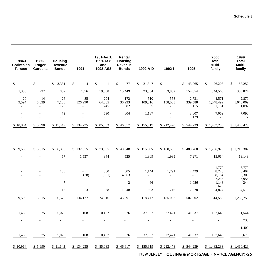| 1984-l<br>Corinthian<br><b>Terrace</b> | 1985-I<br>Roger<br>Gardens | <b>Housing</b><br>Revenue<br><b>Bonds</b>                        | 1991-l                                     | 1981-A&B,<br>1991-AS8<br>and<br>1992-AS8       | Rental<br><b>Housing</b><br>Revenue<br><b>Bonds</b> | 1992-A-D                                                  | 1992-l                           | 1995                                                     | 2000<br><b>Total</b><br>Multi-<br>family                  | 1999<br><b>Total</b><br>Multi-<br>family                                     |
|----------------------------------------|----------------------------|------------------------------------------------------------------|--------------------------------------------|------------------------------------------------|-----------------------------------------------------|-----------------------------------------------------------|----------------------------------|----------------------------------------------------------|-----------------------------------------------------------|------------------------------------------------------------------------------|
| \$                                     | \$<br>$\sim$               | \$<br>3,331                                                      | \$<br>$\overline{4}$                       | \$<br>1                                        | \$<br>77                                            | \$<br>21,347                                              | \$<br>$\overline{\phantom{a}}$   | \$<br>43,965                                             | \$<br>76,208                                              | \$<br>67,252                                                                 |
| 1,350                                  | 937                        | 857                                                              | 7,856                                      | 19,058                                         | 15,449                                              | 23,554                                                    | 53,882                           | 154,054                                                  | 344,563                                                   | 303,874                                                                      |
| 20<br>9,594                            | 14<br>5,039<br>÷           | 26<br>7,183<br>176                                               | 85<br>126,290                              | 204<br>64,385<br>745                           | 172<br>30,233<br>82                                 | 510<br>109,316<br>5                                       | 558<br>158,038<br>$\overline{a}$ | 2,731<br>339,588<br>115                                  | 4,571<br>1,048,492<br>1,151                               | 2,870<br>1,078,069<br>1,097                                                  |
| $\overline{\phantom{a}}$               | $\overline{\phantom{a}}$   | 72<br>$\sim$                                                     | $\overline{a}$<br>$\overline{\phantom{a}}$ | 690<br>$\sim$                                  | 604<br>$\overline{\phantom{a}}$                     | 1,187<br>$\sim$                                           | $\overline{\phantom{a}}$         | 3,607<br>179                                             | 7,069<br>179                                              | 7,090<br>177                                                                 |
| \$10,964                               | \$5,990                    | \$11,645                                                         | \$134,235                                  | \$85,083                                       | \$46,617                                            | 155,919<br>\$                                             | \$212,478                        | \$544,239                                                | \$1,482,233                                               | \$1,460,429                                                                  |
| \$9,505                                | \$5,015                    | 6,306<br>\$                                                      | \$132,615                                  | \$73,385                                       | \$40,048                                            | \$<br>115,505                                             | \$180,585                        | \$489,768                                                | \$1,266,923                                               | \$1,219,387                                                                  |
|                                        |                            | 57                                                               | 1,537                                      | 844                                            | 525                                                 | 1,309                                                     | 1,935                            | 7,271                                                    | 15,664                                                    | 13,149                                                                       |
|                                        |                            | $\frac{1}{2}$<br>180<br>$\,$ 8 $\,$<br>$\overline{7}$<br>٠<br>12 | $\overline{a}$<br>(28)<br>3                | $\overline{\phantom{a}}$<br>860<br>(501)<br>28 | 305<br>4,063<br>$\overline{c}$<br>1,048             | $\overline{\phantom{a}}$<br>1,144<br>L.<br>÷<br>66<br>393 | 1,791<br>$\overline{a}$<br>746   | 2,429<br>$\overline{\phantom{a}}$<br>1,056<br>÷<br>2,078 | 1,779<br>8,228<br>8,164<br>7,235<br>1,148<br>623<br>4,824 | 5,779<br>8,407<br>8,309<br>6,956<br>244<br>$\overline{\phantom{a}}$<br>4,519 |
| 9,505                                  | 5,015                      | 6,570                                                            | 134,127                                    | 74,616                                         | 45,991                                              | 118,417                                                   | 185,057                          | 502,602                                                  | 1,314,588                                                 | 1,266,750                                                                    |
|                                        |                            |                                                                  |                                            |                                                |                                                     |                                                           |                                  |                                                          |                                                           |                                                                              |
| 1,459                                  | 975                        | 5,075                                                            | 108                                        | 10,467                                         | 626                                                 | 37,502                                                    | 27,421                           | 41,637                                                   | 167,645                                                   | 191,544                                                                      |
| L.                                     | $\overline{a}$             |                                                                  |                                            |                                                |                                                     | L,                                                        |                                  | L                                                        | L.                                                        | 735                                                                          |
|                                        |                            |                                                                  |                                            |                                                |                                                     |                                                           |                                  |                                                          |                                                           | 1,400                                                                        |
| 1,459                                  | 975                        | 5,075                                                            | 108                                        | 10,467                                         | 626                                                 | 37,502                                                    | 27,421                           | 41,637                                                   | 167,645                                                   | 193,679                                                                      |
| \$10,964                               | \$5,990                    | \$11,645                                                         | \$134,235                                  | \$ 85,083                                      | \$46,617                                            | \$155,919                                                 | \$212,478                        | \$544,239                                                | \$1,482,233                                               | \$1,460,429                                                                  |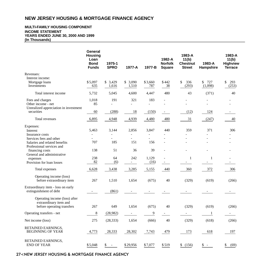**MULTI-FAMILY HOUSING COMPONENT INCOME STATEMENT YEARS ENDED JUNE 30, 2000 AND 1999 (In Thousands)**

|                                                                                       | General<br><b>Housing</b><br>Loan<br><b>Bond</b><br><b>Funds</b> | 1975-1<br><b>SPRO</b>          | 1977-A                   | 1977-B        | 1982-A<br><b>Norfolk</b><br>Square | 1983-A<br>11(b)<br><b>Chestnut</b><br><b>Street</b> | 1983-A<br>Hampshire | 1983-A<br>11(b)<br><b>Highview</b><br><b>Terrace</b> |
|---------------------------------------------------------------------------------------|------------------------------------------------------------------|--------------------------------|--------------------------|---------------|------------------------------------|-----------------------------------------------------|---------------------|------------------------------------------------------|
| Revenues:<br>Interest income:<br>Mortgage loans                                       | \$5,097                                                          | \$3,429                        | \$ 3,090                 | \$3,660       | \$442                              | 336<br>\$                                           | \$<br>727           | \$<br>293                                            |
| Investments                                                                           | 635                                                              | 1,616                          | 1,510                    | 787           | 38                                 | (293)                                               | (1,098)             | (253)                                                |
| Total interest income                                                                 | 5.732                                                            | 5.045                          | 4,600                    | 4,447         | 480                                | 43                                                  | (371)               | 40                                                   |
| Fees and charges<br>Other income - net                                                | 1,018<br>85                                                      | 191<br>L.                      | 321<br>$\overline{a}$    | 183<br>L.     |                                    |                                                     |                     |                                                      |
| Unrealized appreciation in investment<br>securities                                   | 60                                                               | (288)                          | 18                       | (150)         |                                    | (12)                                                | 124                 |                                                      |
| Total revenues                                                                        | 6,895                                                            | 4,948                          | 4,939                    | 4,480         | 480                                | 31                                                  | (247)               | 40                                                   |
| Expenses:<br>Interest                                                                 | 5,463                                                            | 3,144                          | 2,856                    | 3,847         | 440                                | 359                                                 | 371                 | 306                                                  |
| Insurance costs                                                                       |                                                                  |                                | $\blacksquare$           | ÷,            |                                    |                                                     |                     |                                                      |
| Services fees and other                                                               |                                                                  |                                | L.                       | $\bar{a}$     |                                    |                                                     |                     |                                                      |
| Salaries and related benefits<br>Professional services and                            | 707                                                              | 185                            | 151                      | 156           | ÷                                  |                                                     |                     |                                                      |
| financing costs<br>General and administrative                                         | 138                                                              | 51                             | 36                       | 39            |                                    |                                                     |                     |                                                      |
| expenses<br>Provision for loan losses                                                 | 238<br>82                                                        | 64<br>(6)                      | 242<br>÷.                | 1.129<br>(16) | $\sim$                             | $\mathbf{1}$<br>÷                                   | $\mathbf{1}$<br>÷   | ÷.                                                   |
| Total expenses                                                                        | 6,628                                                            | 3,438                          | 3,285                    | 5,155         | 440                                | 360                                                 | 372                 | 306                                                  |
| Operating income (loss)<br>before extraordinary item                                  | 267                                                              | 1,510                          | 1,654                    | (675)         | 40                                 | (329)                                               | (619)               | (266)                                                |
| Extraordinary item - loss on early<br>extinguishment of debt                          | ٠                                                                | (861)                          |                          |               |                                    |                                                     |                     |                                                      |
| Operating income (loss) after<br>extraordinary item and<br>before operating transfers | 267                                                              | 649                            | 1,654                    | (675)         | 40                                 | (329)                                               | (619)               | (266)                                                |
|                                                                                       |                                                                  |                                |                          |               |                                    |                                                     |                     |                                                      |
| Operating transfers - net                                                             | 8                                                                | (28,982)                       | $\overline{\phantom{a}}$ | 9             |                                    |                                                     | 1                   |                                                      |
| Net income (loss)                                                                     | 275                                                              | (28, 333)                      | 1,654                    | (666)         | 40                                 | (329)                                               | (618)               | (266)                                                |
| RETAINED EARNINGS.<br><b>BEGINNING OF YEAR</b>                                        | 4,773                                                            | 28,333                         | 28,302                   | 7,743         | 479                                | 173                                                 | 618                 | 197                                                  |
| RETAINED EARNINGS,<br><b>END OF YEAR</b>                                              | \$5,048                                                          | \$<br>$\overline{\phantom{a}}$ | \$29,956                 | \$7,077       | \$519                              | \$<br>(156)                                         | \$                  | \$<br>(69)                                           |